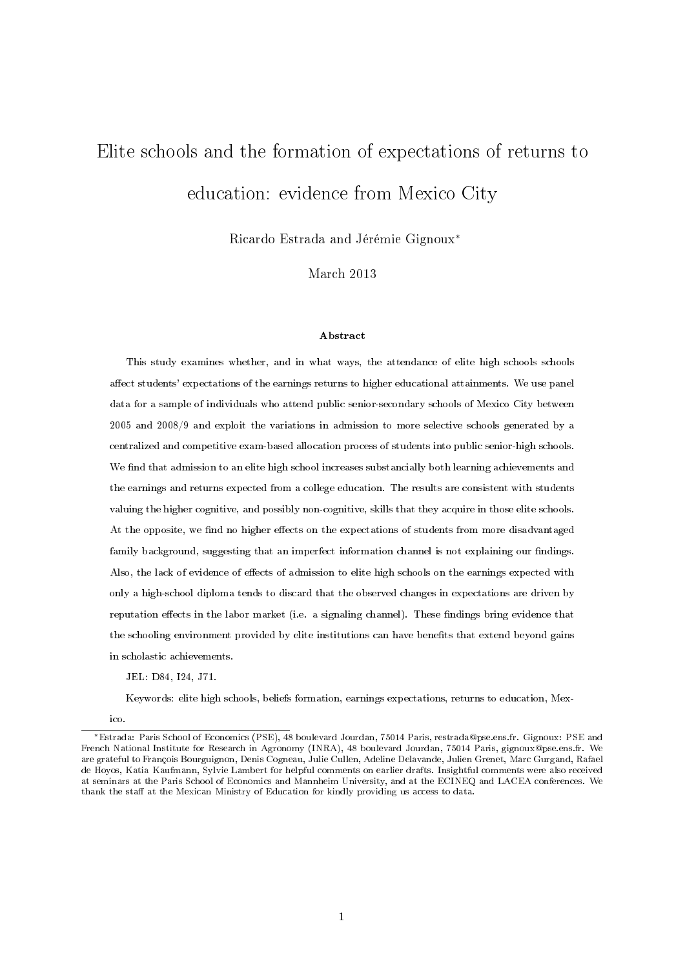# Elite schools and the formation of expectations of returns to education: evidence from Mexico City

Ricardo Estrada and Jérémie Gignoux<sup>∗</sup>

March 2013

#### Abstract

This study examines whether, and in what ways, the attendance of elite high schools schools affect students' expectations of the earnings returns to higher educational attainments. We use panel data for a sample of individuals who attend public senior-secondary schools of Mexico City between 2005 and 2008/9 and exploit the variations in admission to more selective schools generated by a centralized and competitive exam-based allocation process of students into public senior-high schools. We find that admission to an elite high school increases substancially both learning achievements and the earnings and returns expected from a college education. The results are consistent with students valuing the higher cognitive, and possibly non-cognitive, skills that they acquire in those elite schools. At the opposite, we find no higher effects on the expectations of students from more disadvantaged family background, suggesting that an imperfect information channel is not explaining our findings. Also, the lack of evidence of effects of admission to elite high schools on the earnings expected with only a high-school diploma tends to discard that the observed changes in expectations are driven by reputation effects in the labor market (i.e. a signaling channel). These findings bring evidence that the schooling environment provided by elite institutions can have benefits that extend beyond gains in scholastic achievements.

JEL: D84, I24, J71.

Keywords: elite high schools, beliefs formation, earnings expectations, returns to education, Mex-

ico.

<sup>∗</sup>Estrada: Paris School of Economics (PSE), 48 boulevard Jourdan, 75014 Paris, restrada@pse.ens.fr. Gignoux: PSE and French National Institute for Research in Agronomy (INRA), 48 boulevard Jourdan, 75014 Paris, gignoux@pse.ens.fr. We are grateful to François Bourguignon, Denis Cogneau, Julie Cullen, Adeline Delavande, Julien Grenet, Marc Gurgand, Rafael de Hoyos, Katia Kaufmann, Sylvie Lambert for helpful comments on earlier drafts. Insightful comments were also received at seminars at the Paris School of Economics and Mannheim University, and at the ECINEQ and LACEA conferences. We thank the staff at the Mexican Ministry of Education for kindly providing us access to data.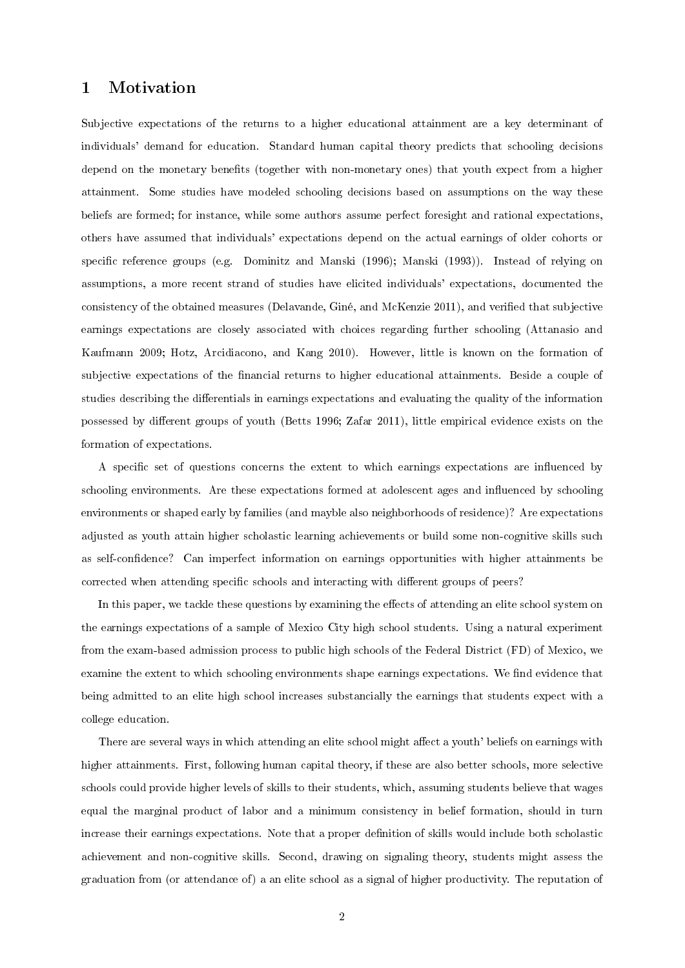# 1 Motivation

Subjective expectations of the returns to a higher educational attainment are a key determinant of individuals' demand for education. Standard human capital theory predicts that schooling decisions depend on the monetary benets (together with non-monetary ones) that youth expect from a higher attainment. Some studies have modeled schooling decisions based on assumptions on the way these beliefs are formed; for instance, while some authors assume perfect foresight and rational expectations, others have assumed that individuals' expectations depend on the actual earnings of older cohorts or specific reference groups (e.g. Dominitz and Manski  $(1996)$ ; Manski  $(1993)$ ). Instead of relying on assumptions, a more recent strand of studies have elicited individuals' expectations, documented the consistency of the obtained measures (Delavande, Giné, and McKenzie 2011), and veried that subjective earnings expectations are closely associated with choices regarding further schooling (Attanasio and Kaufmann 2009; Hotz, Arcidiacono, and Kang 2010). However, little is known on the formation of subjective expectations of the financial returns to higher educational attainments. Beside a couple of studies describing the differentials in earnings expectations and evaluating the quality of the information possessed by different groups of youth (Betts 1996; Zafar 2011), little empirical evidence exists on the formation of expectations.

A specific set of questions concerns the extent to which earnings expectations are influenced by schooling environments. Are these expectations formed at adolescent ages and influenced by schooling environments or shaped early by families (and mayble also neighborhoods of residence)? Are expectations adjusted as youth attain higher scholastic learning achievements or build some non-cognitive skills such as self-condence? Can imperfect information on earnings opportunities with higher attainments be corrected when attending specific schools and interacting with different groups of peers?

In this paper, we tackle these questions by examining the effects of attending an elite school system on the earnings expectations of a sample of Mexico City high school students. Using a natural experiment from the exam-based admission process to public high schools of the Federal District (FD) of Mexico, we examine the extent to which schooling environments shape earnings expectations. We find evidence that being admitted to an elite high school increases substancially the earnings that students expect with a college education.

There are several ways in which attending an elite school might affect a youth' beliefs on earnings with higher attainments. First, following human capital theory, if these are also better schools, more selective schools could provide higher levels of skills to their students, which, assuming students believe that wages equal the marginal product of labor and a minimum consistency in belief formation, should in turn increase their earnings expectations. Note that a proper denition of skills would include both scholastic achievement and non-cognitive skills. Second, drawing on signaling theory, students might assess the graduation from (or attendance of) a an elite school as a signal of higher productivity. The reputation of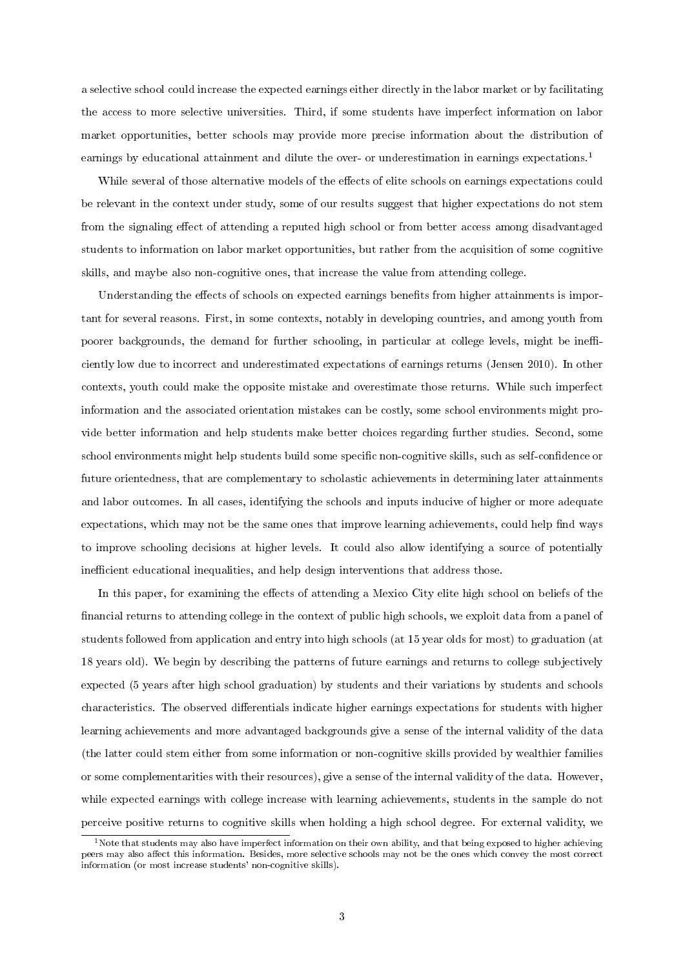a selective school could increase the expected earnings either directly in the labor market or by facilitating the access to more selective universities. Third, if some students have imperfect information on labor market opportunities, better schools may provide more precise information about the distribution of earnings by educational attainment and dilute the over- or underestimation in earnings expectations.<sup>1</sup>

While several of those alternative models of the effects of elite schools on earnings expectations could be relevant in the context under study, some of our results suggest that higher expectations do not stem from the signaling effect of attending a reputed high school or from better access among disadvantaged students to information on labor market opportunities, but rather from the acquisition of some cognitive skills, and maybe also non-cognitive ones, that increase the value from attending college.

Understanding the effects of schools on expected earnings benefits from higher attainments is important for several reasons. First, in some contexts, notably in developing countries, and among youth from poorer backgrounds, the demand for further schooling, in particular at college levels, might be inefficiently low due to incorrect and underestimated expectations of earnings returns (Jensen 2010). In other contexts, youth could make the opposite mistake and overestimate those returns. While such imperfect information and the associated orientation mistakes can be costly, some school environments might provide better information and help students make better choices regarding further studies. Second, some school environments might help students build some specific non-cognitive skills, such as self-confidence or future orientedness, that are complementary to scholastic achievements in determining later attainments and labor outcomes. In all cases, identifying the schools and inputs inducive of higher or more adequate expectations, which may not be the same ones that improve learning achievements, could help find ways to improve schooling decisions at higher levels. It could also allow identifying a source of potentially inefficient educational inequalities, and help design interventions that address those.

In this paper, for examining the effects of attending a Mexico City elite high school on beliefs of the financial returns to attending college in the context of public high schools, we exploit data from a panel of students followed from application and entry into high schools (at 15 year olds for most) to graduation (at 18 years old). We begin by describing the patterns of future earnings and returns to college subjectively expected (5 years after high school graduation) by students and their variations by students and schools characteristics. The observed differentials indicate higher earnings expectations for students with higher learning achievements and more advantaged backgrounds give a sense of the internal validity of the data (the latter could stem either from some information or non-cognitive skills provided by wealthier families or some complementarities with their resources), give a sense of the internal validity of the data. However, while expected earnings with college increase with learning achievements, students in the sample do not perceive positive returns to cognitive skills when holding a high school degree. For external validity, we

<sup>&</sup>lt;sup>1</sup>Note that students may also have imperfect information on their own ability, and that being exposed to higher achieving peers may also affect this information. Besides, more selective schools may not be the ones which convey the most correct information (or most increase students' non-cognitive skills).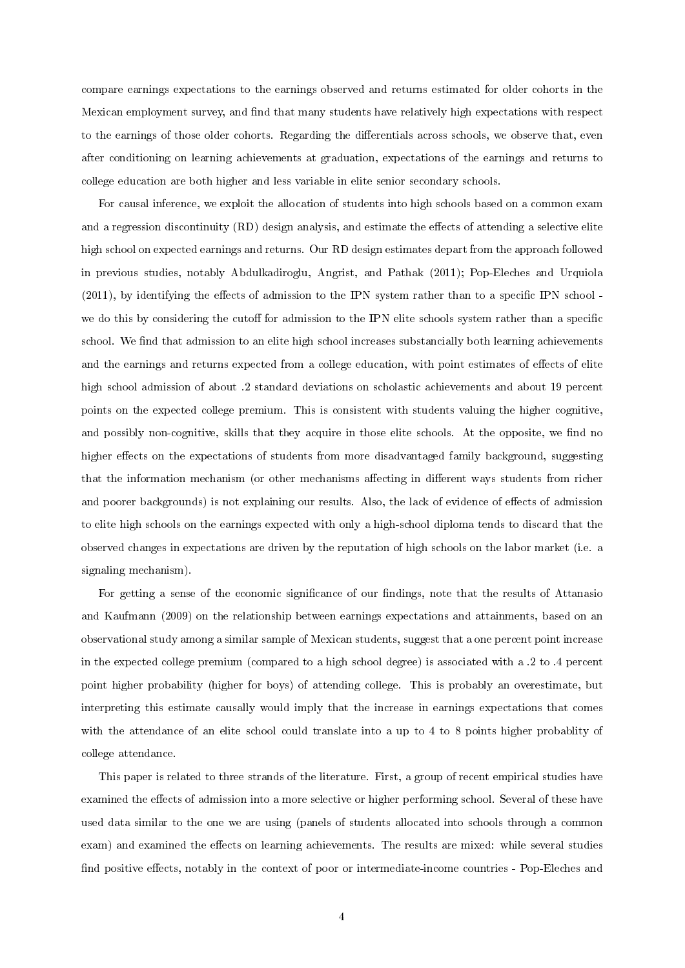compare earnings expectations to the earnings observed and returns estimated for older cohorts in the Mexican employment survey, and find that many students have relatively high expectations with respect to the earnings of those older cohorts. Regarding the differentials across schools, we observe that, even after conditioning on learning achievements at graduation, expectations of the earnings and returns to college education are both higher and less variable in elite senior secondary schools.

For causal inference, we exploit the allocation of students into high schools based on a common exam and a regression discontinuity (RD) design analysis, and estimate the effects of attending a selective elite high school on expected earnings and returns. Our RD design estimates depart from the approach followed in previous studies, notably Abdulkadiroglu, Angrist, and Pathak (2011); Pop-Eleches and Urquiola  $(2011)$ , by identifying the effects of admission to the IPN system rather than to a specific IPN school we do this by considering the cutoff for admission to the IPN elite schools system rather than a specific school. We find that admission to an elite high school increases substancially both learning achievements and the earnings and returns expected from a college education, with point estimates of effects of elite high school admission of about .2 standard deviations on scholastic achievements and about 19 percent points on the expected college premium. This is consistent with students valuing the higher cognitive, and possibly non-cognitive, skills that they acquire in those elite schools. At the opposite, we find no higher effects on the expectations of students from more disadvantaged family background, suggesting that the information mechanism (or other mechanisms affecting in different ways students from richer and poorer backgrounds) is not explaining our results. Also, the lack of evidence of effects of admission to elite high schools on the earnings expected with only a high-school diploma tends to discard that the observed changes in expectations are driven by the reputation of high schools on the labor market (i.e. a signaling mechanism).

For getting a sense of the economic significance of our findings, note that the results of Attanasio and Kaufmann (2009) on the relationship between earnings expectations and attainments, based on an observational study among a similar sample of Mexican students, suggest that a one percent point increase in the expected college premium (compared to a high school degree) is associated with a .2 to .4 percent point higher probability (higher for boys) of attending college. This is probably an overestimate, but interpreting this estimate causally would imply that the increase in earnings expectations that comes with the attendance of an elite school could translate into a up to 4 to 8 points higher probablity of college attendance.

This paper is related to three strands of the literature. First, a group of recent empirical studies have examined the effects of admission into a more selective or higher performing school. Several of these have used data similar to the one we are using (panels of students allocated into schools through a common exam) and examined the effects on learning achievements. The results are mixed: while several studies find positive effects, notably in the context of poor or intermediate-income countries - Pop-Eleches and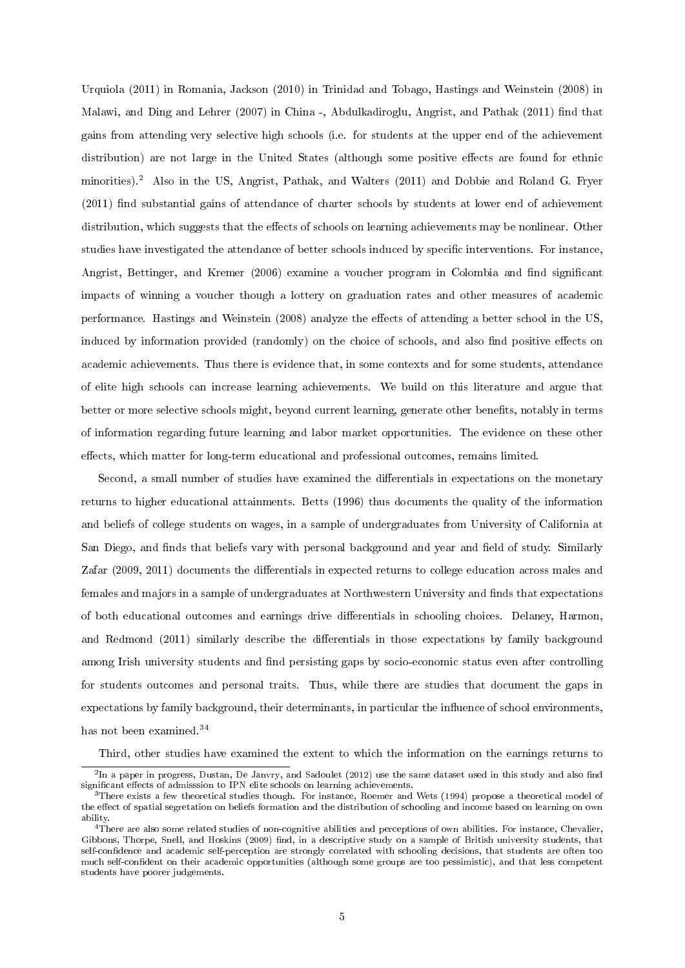Urquiola (2011) in Romania, Jackson (2010) in Trinidad and Tobago, Hastings and Weinstein (2008) in Malawi, and Ding and Lehrer (2007) in China -, Abdulkadiroglu, Angrist, and Pathak (2011) find that gains from attending very selective high schools (i.e. for students at the upper end of the achievement distribution) are not large in the United States (although some positive effects are found for ethnic minorities).<sup>2</sup> Also in the US, Angrist, Pathak, and Walters (2011) and Dobbie and Roland G. Fryer  $(2011)$  find substantial gains of attendance of charter schools by students at lower end of achievement distribution, which suggests that the effects of schools on learning achievements may be nonlinear. Other studies have investigated the attendance of better schools induced by specific interventions. For instance, Angrist, Bettinger, and Kremer (2006) examine a voucher program in Colombia and find significant impacts of winning a voucher though a lottery on graduation rates and other measures of academic performance. Hastings and Weinstein (2008) analyze the effects of attending a better school in the US, induced by information provided (randomly) on the choice of schools, and also find positive effects on academic achievements. Thus there is evidence that, in some contexts and for some students, attendance of elite high schools can increase learning achievements. We build on this literature and argue that better or more selective schools might, beyond current learning, generate other benefits, notably in terms of information regarding future learning and labor market opportunities. The evidence on these other effects, which matter for long-term educational and professional outcomes, remains limited.

Second, a small number of studies have examined the differentials in expectations on the monetary returns to higher educational attainments. Betts (1996) thus documents the quality of the information and beliefs of college students on wages, in a sample of undergraduates from University of California at San Diego, and finds that beliefs vary with personal background and year and field of study. Similarly Zafar (2009, 2011) documents the differentials in expected returns to college education across males and females and majors in a sample of undergraduates at Northwestern University and finds that expectations of both educational outcomes and earnings drive differentials in schooling choices. Delaney, Harmon, and Redmond (2011) similarly describe the differentials in those expectations by family background among Irish university students and find persisting gaps by socio-economic status even after controlling for students outcomes and personal traits. Thus, while there are studies that document the gaps in expectations by family background, their determinants, in particular the influence of school environments, has not been examined.<sup>34</sup>

Third, other studies have examined the extent to which the information on the earnings returns to

 $^2$ In a paper in progress, Dustan, De Janvry, and Sadoulet (2012) use the same dataset used in this study and also find significant effects of admisssion to IPN elite schools on learning achievements.

<sup>&</sup>lt;sup>3</sup>There exists a few theoretical studies though. For instance, Roemer and Wets (1994) propose a theoretical model of the effect of spatial segretation on beliefs formation and the distribution of schooling and income based on learning on own ability.

<sup>4</sup>There are also some related studies of non-cognitive abilities and perceptions of own abilities. For instance, Chevalier, Gibbons, Thorpe, Snell, and Hoskins (2009) find, in a descriptive study on a sample of British university students, that self-condence and academic self-perception are strongly correlated with schooling decisions, that students are often too much self-condent on their academic opportunities (although some groups are too pessimistic), and that less competent students have poorer judgements.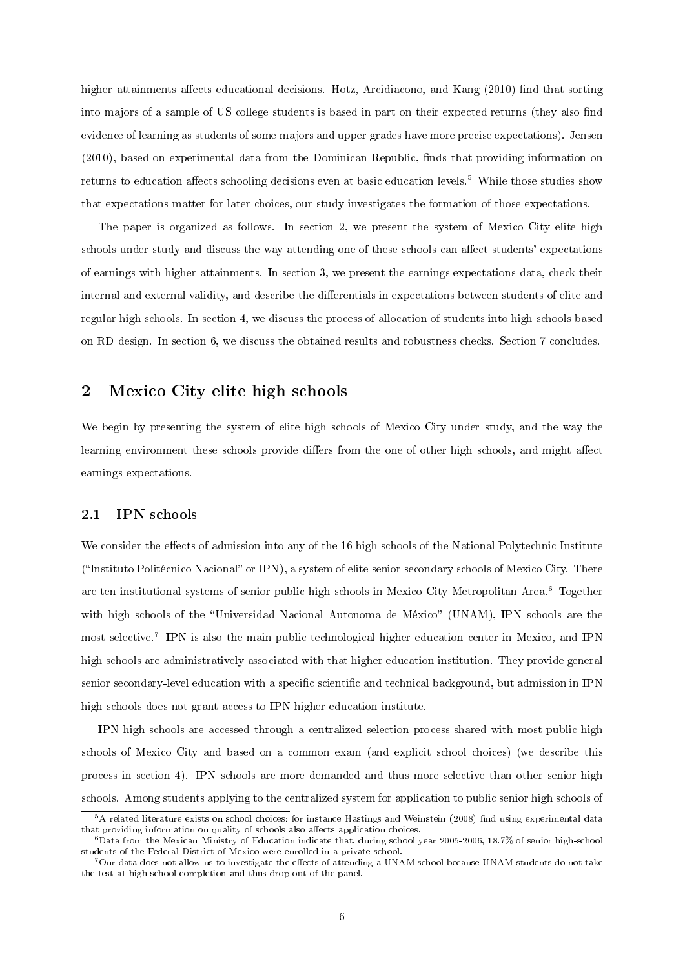higher attainments affects educational decisions. Hotz, Arcidiacono, and Kang (2010) find that sorting into majors of a sample of US college students is based in part on their expected returns (they also find evidence of learning as students of some majors and upper grades have more precise expectations). Jensen  $(2010)$ , based on experimental data from the Dominican Republic, finds that providing information on returns to education affects schooling decisions even at basic education levels.<sup>5</sup> While those studies show that expectations matter for later choices, our study investigates the formation of those expectations.

The paper is organized as follows. In section 2, we present the system of Mexico City elite high schools under study and discuss the way attending one of these schools can affect students' expectations of earnings with higher attainments. In section 3, we present the earnings expectations data, check their internal and external validity, and describe the differentials in expectations between students of elite and regular high schools. In section 4, we discuss the process of allocation of students into high schools based on RD design. In section 6, we discuss the obtained results and robustness checks. Section 7 concludes.

# 2 Mexico City elite high schools

We begin by presenting the system of elite high schools of Mexico City under study, and the way the learning environment these schools provide differs from the one of other high schools, and might affect earnings expectations.

#### 2.1 IPN schools

We consider the effects of admission into any of the 16 high schools of the National Polytechnic Institute  $("Instituto Politécnico Nacional" or IPN), a system of elite senior secondary schools of Mexico City. There$ are ten institutional systems of senior public high schools in Mexico City Metropolitan Area.<sup>6</sup> Together with high schools of the "Universidad Nacional Autonoma de México" (UNAM), IPN schools are the most selective.<sup>7</sup> IPN is also the main public technological higher education center in Mexico, and IPN high schools are administratively associated with that higher education institution. They provide general senior secondary-level education with a specific scientific and technical background, but admission in IPN high schools does not grant access to IPN higher education institute.

IPN high schools are accessed through a centralized selection process shared with most public high schools of Mexico City and based on a common exam (and explicit school choices) (we describe this process in section 4). IPN schools are more demanded and thus more selective than other senior high schools. Among students applying to the centralized system for application to public senior high schools of

 $5A$  related literature exists on school choices; for instance Hastings and Weinstein (2008) find using experimental data that providing information on quality of schools also affects application choices.

 $6$ Data from the Mexican Ministry of Education indicate that, during school year 2005-2006, 18.7% of senior high-school students of the Federal District of Mexico were enrolled in a private school.

<sup>&</sup>lt;sup>7</sup>Our data does not allow us to investigate the effects of attending a UNAM school because UNAM students do not take the test at high school completion and thus drop out of the panel.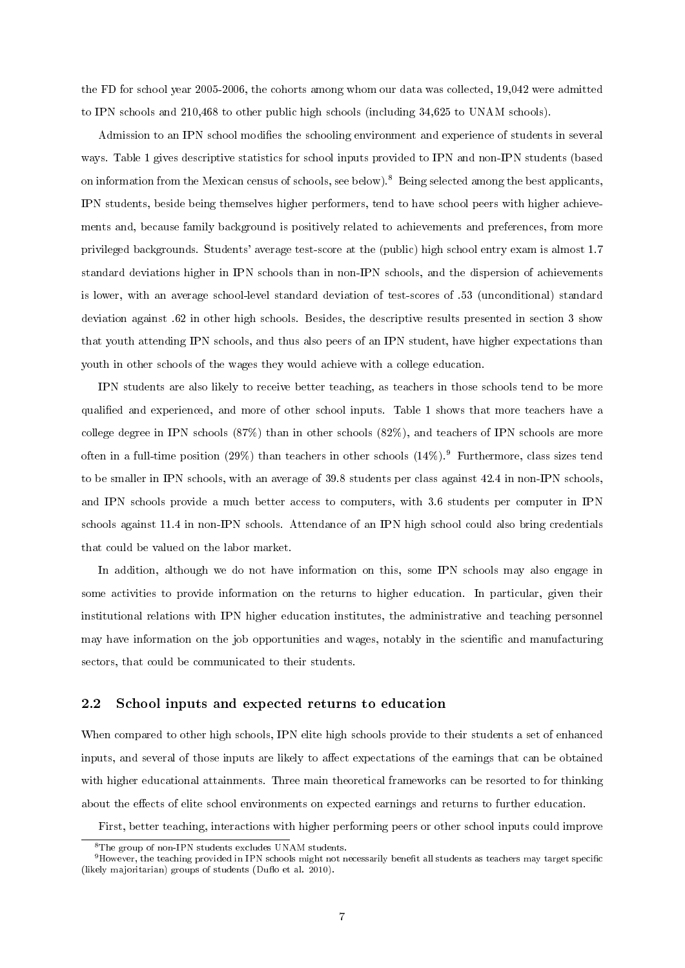the FD for school year 2005-2006, the cohorts among whom our data was collected, 19,042 were admitted to IPN schools and 210,468 to other public high schools (including 34,625 to UNAM schools).

Admission to an IPN school modifies the schooling environment and experience of students in several ways. Table 1 gives descriptive statistics for school inputs provided to IPN and non-IPN students (based on information from the Mexican census of schools, see below).<sup>8</sup> Being selected among the best applicants, IPN students, beside being themselves higher performers, tend to have school peers with higher achievements and, because family background is positively related to achievements and preferences, from more privileged backgrounds. Students' average test-score at the (public) high school entry exam is almost 1.7 standard deviations higher in IPN schools than in non-IPN schools, and the dispersion of achievements is lower, with an average school-level standard deviation of test-scores of .53 (unconditional) standard deviation against .62 in other high schools. Besides, the descriptive results presented in section 3 show that youth attending IPN schools, and thus also peers of an IPN student, have higher expectations than youth in other schools of the wages they would achieve with a college education.

IPN students are also likely to receive better teaching, as teachers in those schools tend to be more qualified and experienced, and more of other school inputs. Table 1 shows that more teachers have a college degree in IPN schools (87%) than in other schools (82%), and teachers of IPN schools are more often in a full-time position (29%) than teachers in other schools  $(14\%)$ . Furthermore, class sizes tend to be smaller in IPN schools, with an average of 39.8 students per class against 42.4 in non-IPN schools, and IPN schools provide a much better access to computers, with 3.6 students per computer in IPN schools against 11.4 in non-IPN schools. Attendance of an IPN high school could also bring credentials that could be valued on the labor market.

In addition, although we do not have information on this, some IPN schools may also engage in some activities to provide information on the returns to higher education. In particular, given their institutional relations with IPN higher education institutes, the administrative and teaching personnel may have information on the job opportunities and wages, notably in the scientific and manufacturing sectors, that could be communicated to their students.

## 2.2 School inputs and expected returns to education

When compared to other high schools, IPN elite high schools provide to their students a set of enhanced inputs, and several of those inputs are likely to affect expectations of the earnings that can be obtained with higher educational attainments. Three main theoretical frameworks can be resorted to for thinking about the effects of elite school environments on expected earnings and returns to further education.

First, better teaching, interactions with higher performing peers or other school inputs could improve

<sup>8</sup>The group of non-IPN students excludes UNAM students.

<sup>&</sup>lt;sup>9</sup>However, the teaching provided in IPN schools might not necessarily benefit all students as teachers may target specific (likely majoritarian) groups of students (Duflo et al.  $2010$ ).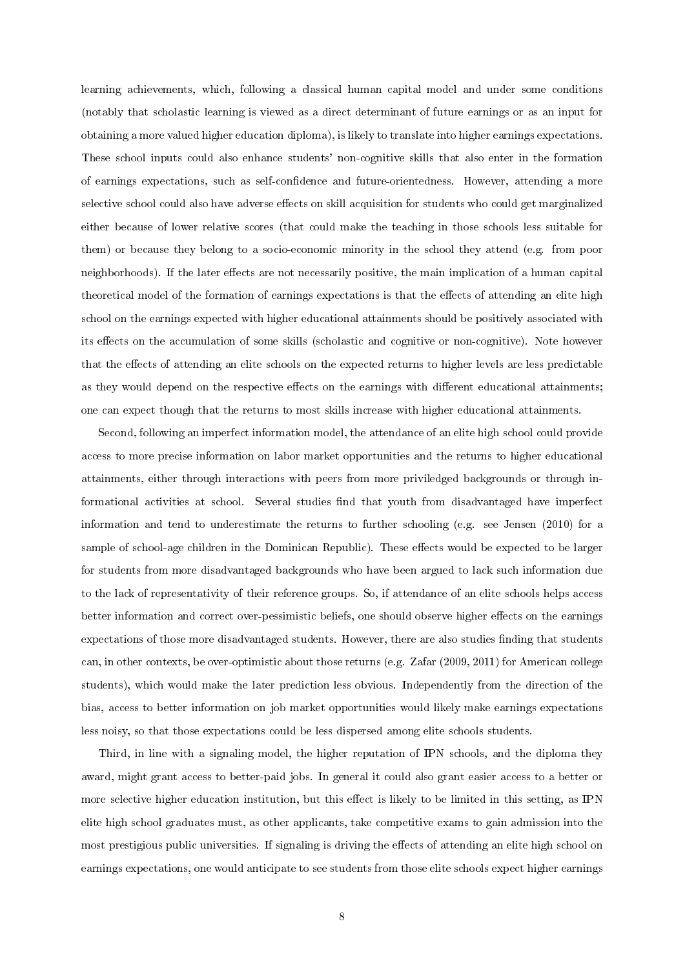learning achievements, which, following a classical human capital model and under some conditions (notably that scholastic learning is viewed as a direct determinant of future earnings or as an input for obtaining a more valued higher education diploma), is likely to translate into higher earnings expectations. These school inputs could also enhance students' non-cognitive skills that also enter in the formation of earnings expectations, such as self-condence and future-orientedness. However, attending a more selective school could also have adverse effects on skill acquisition for students who could get marginalized either because of lower relative scores (that could make the teaching in those schools less suitable for them) or because they belong to a socio-economic minority in the school they attend (e.g. from poor neighborhoods). If the later effects are not necessarily positive, the main implication of a human capital theoretical model of the formation of earnings expectations is that the effects of attending an elite high school on the earnings expected with higher educational attainments should be positively associated with its effects on the accumulation of some skills (scholastic and cognitive or non-cognitive). Note however that the effects of attending an elite schools on the expected returns to higher levels are less predictable as they would depend on the respective effects on the earnings with different educational attainments; one can expect though that the returns to most skills increase with higher educational attainments.

Second, following an imperfect information model, the attendance of an elite high school could provide access to more precise information on labor market opportunities and the returns to higher educational attainments, either through interactions with peers from more priviledged backgrounds or through informational activities at school. Several studies find that youth from disadvantaged have imperfect information and tend to underestimate the returns to further schooling (e.g. see Jensen (2010) for a sample of school-age children in the Dominican Republic). These effects would be expected to be larger for students from more disadvantaged backgrounds who have been argued to lack such information due to the lack of representativity of their reference groups. So, if attendance of an elite schools helps access better information and correct over-pessimistic beliefs, one should observe higher effects on the earnings expectations of those more disadvantaged students. However, there are also studies finding that students can, in other contexts, be over-optimistic about those returns (e.g. Zafar (2009, 2011) for American college students), which would make the later prediction less obvious. Independently from the direction of the bias, access to better information on job market opportunities would likely make earnings expectations less noisy, so that those expectations could be less dispersed among elite schools students.

Third, in line with a signaling model, the higher reputation of IPN schools, and the diploma they award, might grant access to better-paid jobs. In general it could also grant easier access to a better or more selective higher education institution, but this effect is likely to be limited in this setting, as IPN elite high school graduates must, as other applicants, take competitive exams to gain admission into the most prestigious public universities. If signaling is driving the effects of attending an elite high school on earnings expectations, one would anticipate to see students from those elite schools expect higher earnings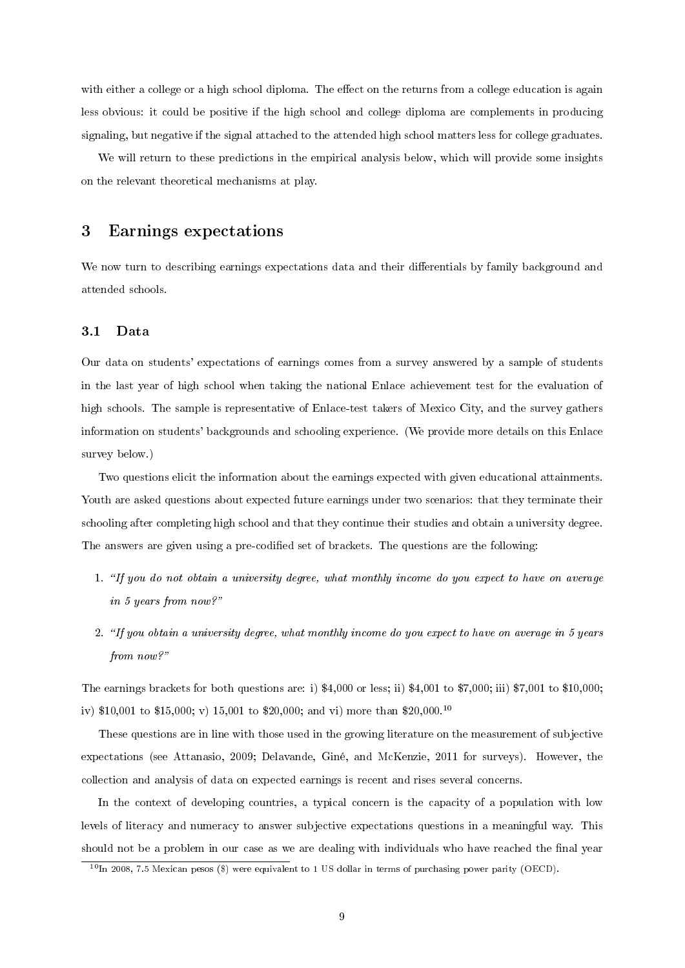with either a college or a high school diploma. The effect on the returns from a college education is again less obvious: it could be positive if the high school and college diploma are complements in producing signaling, but negative if the signal attached to the attended high school matters less for college graduates.

We will return to these predictions in the empirical analysis below, which will provide some insights on the relevant theoretical mechanisms at play.

# 3 Earnings expectations

We now turn to describing earnings expectations data and their differentials by family background and attended schools.

## 3.1 Data

Our data on students' expectations of earnings comes from a survey answered by a sample of students in the last year of high school when taking the national Enlace achievement test for the evaluation of high schools. The sample is representative of Enlace-test takers of Mexico City, and the survey gathers information on students' backgrounds and schooling experience. (We provide more details on this Enlace survey below.)

Two questions elicit the information about the earnings expected with given educational attainments. Youth are asked questions about expected future earnings under two scenarios: that they terminate their schooling after completing high school and that they continue their studies and obtain a university degree. The answers are given using a pre-codified set of brackets. The questions are the following:

- 1. "If you do not obtain a university degree, what monthly income do you expect to have on average in 5 years from now?
- 2. "If you obtain a university degree, what monthly income do you expect to have on average in 5 years from now?"

The earnings brackets for both questions are: i) \$4,000 or less; ii) \$4,001 to \$7,000; iii) \$7,001 to \$10,000; iv) \$10,001 to \$15,000; v) 15,001 to \$20,000; and vi) more than \$20,000.<sup>10</sup>

These questions are in line with those used in the growing literature on the measurement of subjective expectations (see Attanasio, 2009; Delavande, Giné, and McKenzie, 2011 for surveys). However, the collection and analysis of data on expected earnings is recent and rises several concerns.

In the context of developing countries, a typical concern is the capacity of a population with low levels of literacy and numeracy to answer subjective expectations questions in a meaningful way. This should not be a problem in our case as we are dealing with individuals who have reached the final year

 $10\text{ In } 2008, 7.5$  Mexican pesos (\$) were equivalent to 1 US dollar in terms of purchasing power parity (OECD).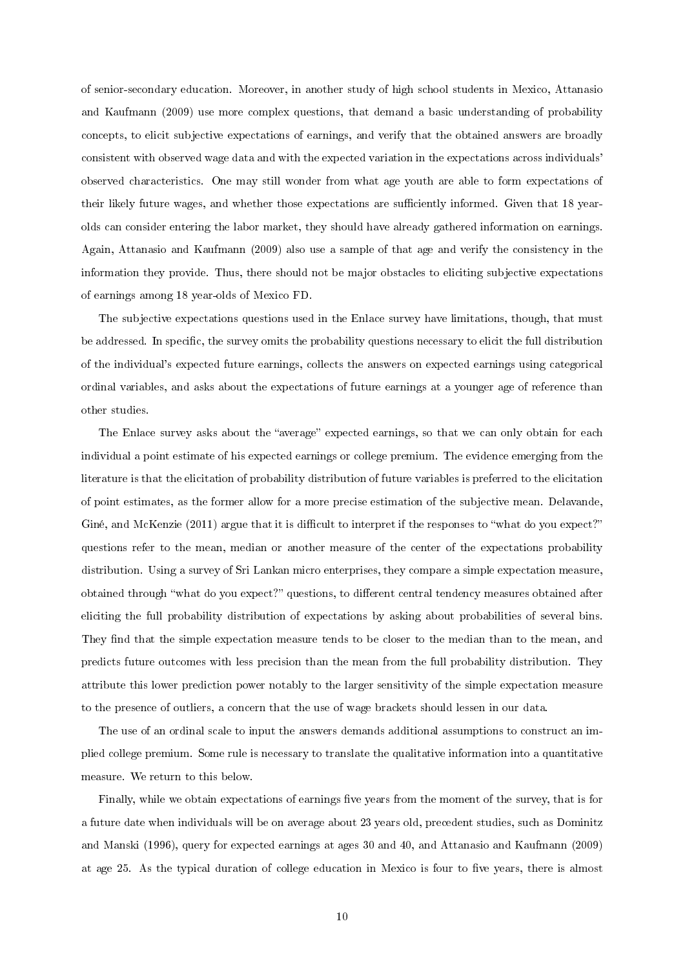of senior-secondary education. Moreover, in another study of high school students in Mexico, Attanasio and Kaufmann (2009) use more complex questions, that demand a basic understanding of probability concepts, to elicit subjective expectations of earnings, and verify that the obtained answers are broadly consistent with observed wage data and with the expected variation in the expectations across individuals' observed characteristics. One may still wonder from what age youth are able to form expectations of their likely future wages, and whether those expectations are sufficiently informed. Given that 18 yearolds can consider entering the labor market, they should have already gathered information on earnings. Again, Attanasio and Kaufmann (2009) also use a sample of that age and verify the consistency in the information they provide. Thus, there should not be major obstacles to eliciting subjective expectations of earnings among 18 year-olds of Mexico FD.

The subjective expectations questions used in the Enlace survey have limitations, though, that must be addressed. In specific, the survey omits the probability questions necessary to elicit the full distribution of the individual's expected future earnings, collects the answers on expected earnings using categorical ordinal variables, and asks about the expectations of future earnings at a younger age of reference than other studies.

The Enlace survey asks about the "average" expected earnings, so that we can only obtain for each individual a point estimate of his expected earnings or college premium. The evidence emerging from the literature is that the elicitation of probability distribution of future variables is preferred to the elicitation of point estimates, as the former allow for a more precise estimation of the subjective mean. Delavande, Giné, and McKenzie (2011) argue that it is difficult to interpret if the responses to "what do you expect?" questions refer to the mean, median or another measure of the center of the expectations probability distribution. Using a survey of Sri Lankan micro enterprises, they compare a simple expectation measure, obtained through "what do you expect?" questions, to different central tendency measures obtained after eliciting the full probability distribution of expectations by asking about probabilities of several bins. They find that the simple expectation measure tends to be closer to the median than to the mean, and predicts future outcomes with less precision than the mean from the full probability distribution. They attribute this lower prediction power notably to the larger sensitivity of the simple expectation measure to the presence of outliers, a concern that the use of wage brackets should lessen in our data.

The use of an ordinal scale to input the answers demands additional assumptions to construct an implied college premium. Some rule is necessary to translate the qualitative information into a quantitative measure. We return to this below.

Finally, while we obtain expectations of earnings five years from the moment of the survey, that is for a future date when individuals will be on average about 23 years old, precedent studies, such as Dominitz and Manski (1996), query for expected earnings at ages 30 and 40, and Attanasio and Kaufmann (2009) at age 25. As the typical duration of college education in Mexico is four to five years, there is almost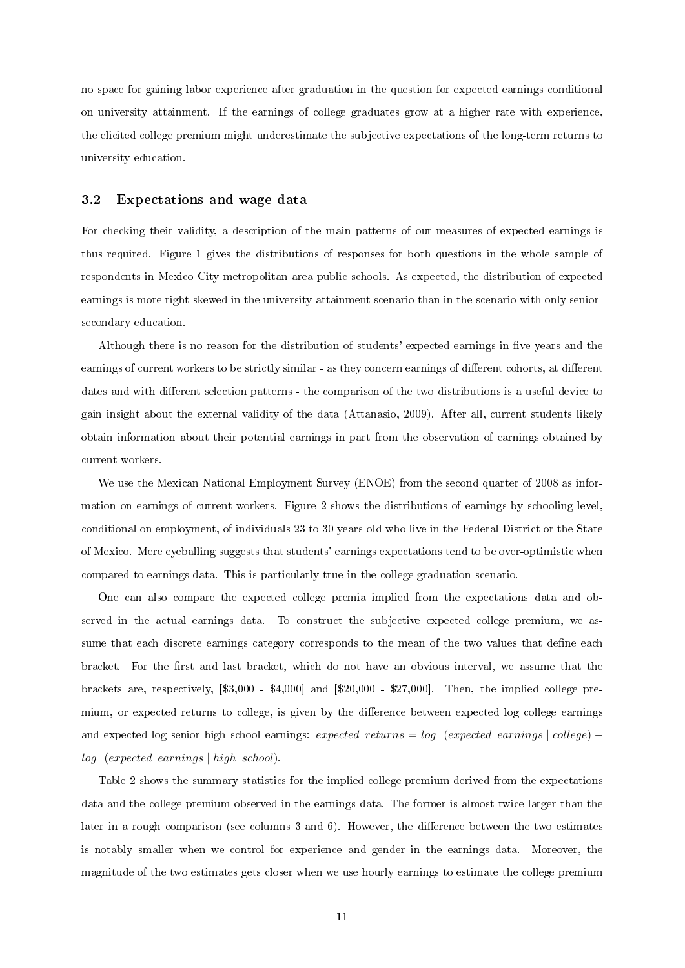no space for gaining labor experience after graduation in the question for expected earnings conditional on university attainment. If the earnings of college graduates grow at a higher rate with experience, the elicited college premium might underestimate the subjective expectations of the long-term returns to university education.

#### 3.2 Expectations and wage data

For checking their validity, a description of the main patterns of our measures of expected earnings is thus required. Figure 1 gives the distributions of responses for both questions in the whole sample of respondents in Mexico City metropolitan area public schools. As expected, the distribution of expected earnings is more right-skewed in the university attainment scenario than in the scenario with only seniorsecondary education.

Although there is no reason for the distribution of students' expected earnings in five years and the earnings of current workers to be strictly similar - as they concern earnings of different cohorts, at different dates and with different selection patterns - the comparison of the two distributions is a useful device to gain insight about the external validity of the data (Attanasio, 2009). After all, current students likely obtain information about their potential earnings in part from the observation of earnings obtained by current workers.

We use the Mexican National Employment Survey (ENOE) from the second quarter of 2008 as information on earnings of current workers. Figure 2 shows the distributions of earnings by schooling level, conditional on employment, of individuals 23 to 30 years-old who live in the Federal District or the State of Mexico. Mere eyeballing suggests that students' earnings expectations tend to be over-optimistic when compared to earnings data. This is particularly true in the college graduation scenario.

One can also compare the expected college premia implied from the expectations data and observed in the actual earnings data. To construct the subjective expected college premium, we assume that each discrete earnings category corresponds to the mean of the two values that define each bracket. For the first and last bracket, which do not have an obvious interval, we assume that the brackets are, respectively, [\$3,000 - \$4,000] and [\$20,000 - \$27,000]. Then, the implied college premium, or expected returns to college, is given by the difference between expected log college earnings and expected log senior high school earnings: expected returns = log (expected earnings | college) – log (expected earnings | high school).

Table 2 shows the summary statistics for the implied college premium derived from the expectations data and the college premium observed in the earnings data. The former is almost twice larger than the later in a rough comparison (see columns  $3$  and  $6$ ). However, the difference between the two estimates is notably smaller when we control for experience and gender in the earnings data. Moreover, the magnitude of the two estimates gets closer when we use hourly earnings to estimate the college premium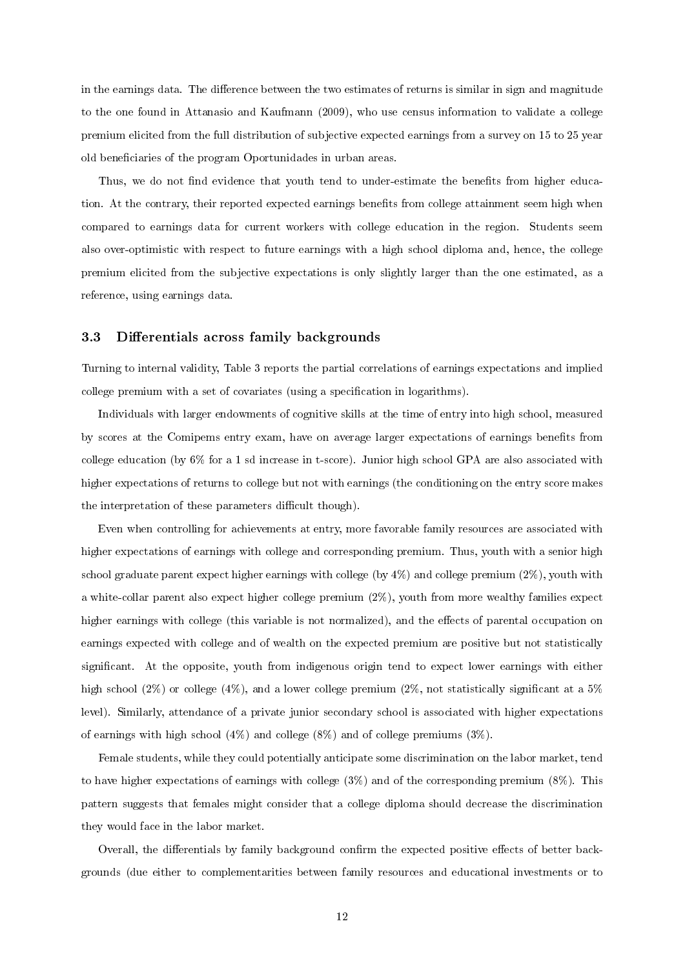in the earnings data. The difference between the two estimates of returns is similar in sign and magnitude to the one found in Attanasio and Kaufmann (2009), who use census information to validate a college premium elicited from the full distribution of subjective expected earnings from a survey on 15 to 25 year old beneficiaries of the program Oportunidades in urban areas.

Thus, we do not find evidence that youth tend to under-estimate the benefits from higher education. At the contrary, their reported expected earnings benefits from college attainment seem high when compared to earnings data for current workers with college education in the region. Students seem also over-optimistic with respect to future earnings with a high school diploma and, hence, the college premium elicited from the subjective expectations is only slightly larger than the one estimated, as a reference, using earnings data.

#### 3.3 Differentials across family backgrounds

Turning to internal validity, Table 3 reports the partial correlations of earnings expectations and implied college premium with a set of covariates (using a specification in logarithms).

Individuals with larger endowments of cognitive skills at the time of entry into high school, measured by scores at the Comipems entry exam, have on average larger expectations of earnings benets from college education (by 6% for a 1 sd increase in t-score). Junior high school GPA are also associated with higher expectations of returns to college but not with earnings (the conditioning on the entry score makes the interpretation of these parameters difficult though).

Even when controlling for achievements at entry, more favorable family resources are associated with higher expectations of earnings with college and corresponding premium. Thus, youth with a senior high school graduate parent expect higher earnings with college (by 4%) and college premium (2%), youth with a white-collar parent also expect higher college premium (2%), youth from more wealthy families expect higher earnings with college (this variable is not normalized), and the effects of parental occupation on earnings expected with college and of wealth on the expected premium are positive but not statistically significant. At the opposite, youth from indigenous origin tend to expect lower earnings with either high school (2%) or college (4%), and a lower college premium (2%, not statistically significant at a  $5\%$ level). Similarly, attendance of a private junior secondary school is associated with higher expectations of earnings with high school  $(4\%)$  and college  $(8\%)$  and of college premiums  $(3\%)$ .

Female students, while they could potentially anticipate some discrimination on the labor market, tend to have higher expectations of earnings with college  $(3\%)$  and of the corresponding premium  $(8\%)$ . This pattern suggests that females might consider that a college diploma should decrease the discrimination they would face in the labor market.

Overall, the differentials by family background confirm the expected positive effects of better backgrounds (due either to complementarities between family resources and educational investments or to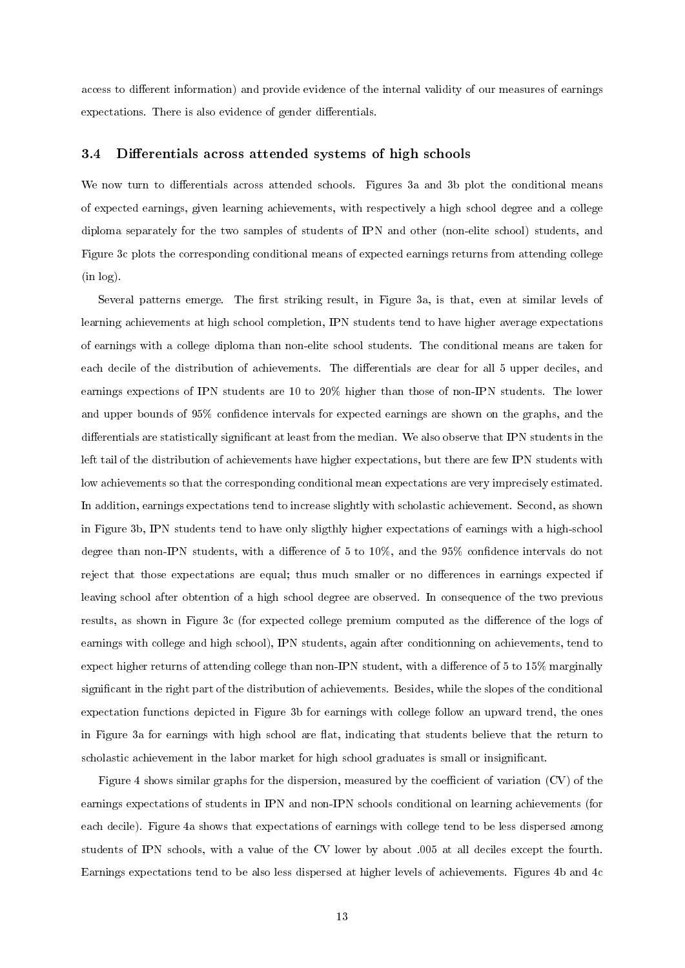access to different information) and provide evidence of the internal validity of our measures of earnings expectations. There is also evidence of gender differentials.

#### 3.4 Differentials across attended systems of high schools

We now turn to differentials across attended schools. Figures 3a and 3b plot the conditional means of expected earnings, given learning achievements, with respectively a high school degree and a college diploma separately for the two samples of students of IPN and other (non-elite school) students, and Figure 3c plots the corresponding conditional means of expected earnings returns from attending college (in log).

Several patterns emerge. The first striking result, in Figure 3a, is that, even at similar levels of learning achievements at high school completion, IPN students tend to have higher average expectations of earnings with a college diploma than non-elite school students. The conditional means are taken for each decile of the distribution of achievements. The differentials are clear for all 5 upper deciles, and earnings expections of IPN students are 10 to 20% higher than those of non-IPN students. The lower and upper bounds of 95% condence intervals for expected earnings are shown on the graphs, and the differentials are statistically significant at least from the median. We also observe that IPN students in the left tail of the distribution of achievements have higher expectations, but there are few IPN students with low achievements so that the corresponding conditional mean expectations are very imprecisely estimated. In addition, earnings expectations tend to increase slightly with scholastic achievement. Second, as shown in Figure 3b, IPN students tend to have only sligthly higher expectations of earnings with a high-school degree than non-IPN students, with a difference of 5 to 10%, and the 95% confidence intervals do not reject that those expectations are equal; thus much smaller or no differences in earnings expected if leaving school after obtention of a high school degree are observed. In consequence of the two previous results, as shown in Figure 3c (for expected college premium computed as the difference of the logs of earnings with college and high school), IPN students, again after conditionning on achievements, tend to expect higher returns of attending college than non-IPN student, with a difference of  $5$  to  $15\%$  marginally significant in the right part of the distribution of achievements. Besides, while the slopes of the conditional expectation functions depicted in Figure 3b for earnings with college follow an upward trend, the ones in Figure 3a for earnings with high school are flat, indicating that students believe that the return to scholastic achievement in the labor market for high school graduates is small or insignificant.

Figure 4 shows similar graphs for the dispersion, measured by the coefficient of variation  $(CV)$  of the earnings expectations of students in IPN and non-IPN schools conditional on learning achievements (for each decile). Figure 4a shows that expectations of earnings with college tend to be less dispersed among students of IPN schools, with a value of the CV lower by about .005 at all deciles except the fourth. Earnings expectations tend to be also less dispersed at higher levels of achievements. Figures 4b and 4c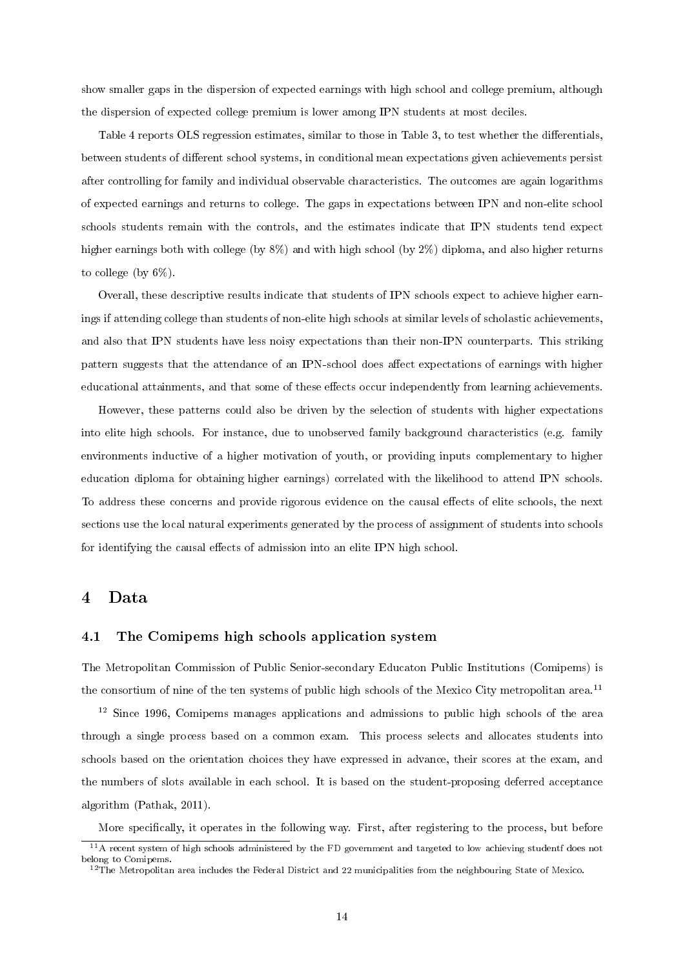show smaller gaps in the dispersion of expected earnings with high school and college premium, although the dispersion of expected college premium is lower among IPN students at most deciles.

Table 4 reports OLS regression estimates, similar to those in Table 3, to test whether the differentials, between students of different school systems, in conditional mean expectations given achievements persist after controlling for family and individual observable characteristics. The outcomes are again logarithms of expected earnings and returns to college. The gaps in expectations between IPN and non-elite school schools students remain with the controls, and the estimates indicate that IPN students tend expect higher earnings both with college (by  $8\%$ ) and with high school (by  $2\%$ ) diploma, and also higher returns to college (by 6%).

Overall, these descriptive results indicate that students of IPN schools expect to achieve higher earnings if attending college than students of non-elite high schools at similar levels of scholastic achievements, and also that IPN students have less noisy expectations than their non-IPN counterparts. This striking pattern suggests that the attendance of an IPN-school does affect expectations of earnings with higher educational attainments, and that some of these effects occur independently from learning achievements.

However, these patterns could also be driven by the selection of students with higher expectations into elite high schools. For instance, due to unobserved family background characteristics (e.g. family environments inductive of a higher motivation of youth, or providing inputs complementary to higher education diploma for obtaining higher earnings) correlated with the likelihood to attend IPN schools. To address these concerns and provide rigorous evidence on the causal effects of elite schools, the next sections use the local natural experiments generated by the process of assignment of students into schools for identifying the causal effects of admission into an elite IPN high school.

# 4 Data

## 4.1 The Comipems high schools application system

The Metropolitan Commission of Public Senior-secondary Educaton Public Institutions (Comipems) is the consortium of nine of the ten systems of public high schools of the Mexico City metropolitan area.<sup>11</sup>

<sup>12</sup> Since 1996, Comipems manages applications and admissions to public high schools of the area through a single process based on a common exam. This process selects and allocates students into schools based on the orientation choices they have expressed in advance, their scores at the exam, and the numbers of slots available in each school. It is based on the student-proposing deferred acceptance algorithm (Pathak, 2011).

More specifically, it operates in the following way. First, after registering to the process, but before

<sup>11</sup>A recent system of high schools administered by the FD government and targeted to low achieving studentf does not belong to Comipems.

 $^{12}$ The Metropolitan area includes the Federal District and 22 municipalities from the neighbouring State of Mexico.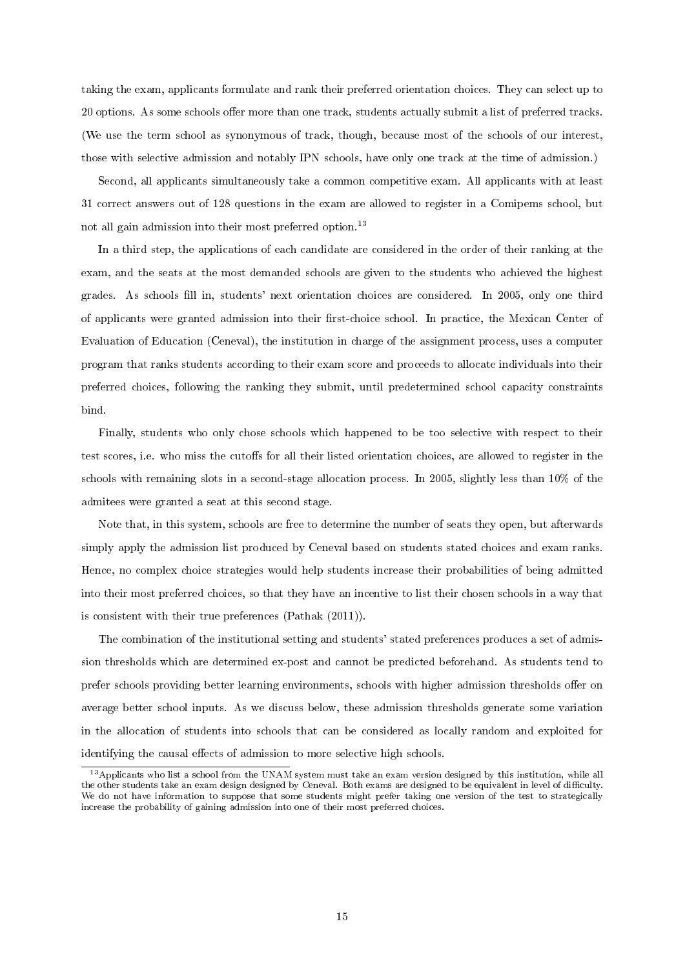taking the exam, applicants formulate and rank their preferred orientation choices. They can select up to 20 options. As some schools offer more than one track, students actually submit a list of preferred tracks. (We use the term school as synonymous of track, though, because most of the schools of our interest, those with selective admission and notably IPN schools, have only one track at the time of admission.)

Second, all applicants simultaneously take a common competitive exam. All applicants with at least 31 correct answers out of 128 questions in the exam are allowed to register in a Comipems school, but not all gain admission into their most preferred option.<sup>13</sup>

In a third step, the applications of each candidate are considered in the order of their ranking at the exam, and the seats at the most demanded schools are given to the students who achieved the highest grades. As schools ll in, students' next orientation choices are considered. In 2005, only one third of applicants were granted admission into their first-choice school. In practice, the Mexican Center of Evaluation of Education (Ceneval), the institution in charge of the assignment process, uses a computer program that ranks students according to their exam score and proceeds to allocate individuals into their preferred choices, following the ranking they submit, until predetermined school capacity constraints bind.

Finally, students who only chose schools which happened to be too selective with respect to their test scores, i.e. who miss the cutoffs for all their listed orientation choices, are allowed to register in the schools with remaining slots in a second-stage allocation process. In 2005, slightly less than 10% of the admitees were granted a seat at this second stage.

Note that, in this system, schools are free to determine the number of seats they open, but afterwards simply apply the admission list produced by Ceneval based on students stated choices and exam ranks. Hence, no complex choice strategies would help students increase their probabilities of being admitted into their most preferred choices, so that they have an incentive to list their chosen schools in a way that is consistent with their true preferences (Pathak (2011)).

The combination of the institutional setting and students' stated preferences produces a set of admission thresholds which are determined ex-post and cannot be predicted beforehand. As students tend to prefer schools providing better learning environments, schools with higher admission thresholds offer on average better school inputs. As we discuss below, these admission thresholds generate some variation in the allocation of students into schools that can be considered as locally random and exploited for identifying the causal effects of admission to more selective high schools.

<sup>&</sup>lt;sup>13</sup> Applicants who list a school from the UNAM system must take an exam version designed by this institution, while all the other students take an exam design designed by Ceneval. Both exams are designed to be equivalent in level of difficulty. We do not have information to suppose that some students might prefer taking one version of the test to strategically increase the probability of gaining admission into one of their most preferred choices.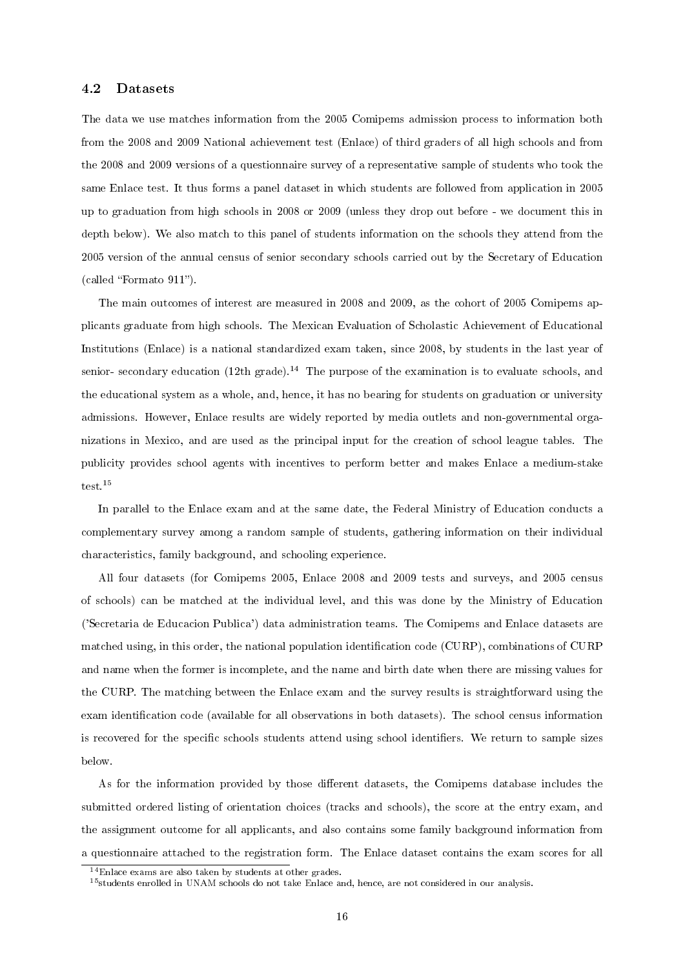## 4.2 Datasets

The data we use matches information from the 2005 Comipems admission process to information both from the 2008 and 2009 National achievement test (Enlace) of third graders of all high schools and from the 2008 and 2009 versions of a questionnaire survey of a representative sample of students who took the same Enlace test. It thus forms a panel dataset in which students are followed from application in 2005 up to graduation from high schools in 2008 or 2009 (unless they drop out before - we document this in depth below). We also match to this panel of students information on the schools they attend from the 2005 version of the annual census of senior secondary schools carried out by the Secretary of Education  $(called "Formato 911").$ 

The main outcomes of interest are measured in 2008 and 2009, as the cohort of 2005 Comipems applicants graduate from high schools. The Mexican Evaluation of Scholastic Achievement of Educational Institutions (Enlace) is a national standardized exam taken, since 2008, by students in the last year of senior- secondary education  $(12th\,\text{grade})$ .<sup>14</sup> The purpose of the examination is to evaluate schools, and the educational system as a whole, and, hence, it has no bearing for students on graduation or university admissions. However, Enlace results are widely reported by media outlets and non-governmental organizations in Mexico, and are used as the principal input for the creation of school league tables. The publicity provides school agents with incentives to perform better and makes Enlace a medium-stake test.<sup>15</sup>

In parallel to the Enlace exam and at the same date, the Federal Ministry of Education conducts a complementary survey among a random sample of students, gathering information on their individual characteristics, family background, and schooling experience.

All four datasets (for Comipems 2005, Enlace 2008 and 2009 tests and surveys, and 2005 census of schools) can be matched at the individual level, and this was done by the Ministry of Education ('Secretaria de Educacion Publica') data administration teams. The Comipems and Enlace datasets are matched using, in this order, the national population identification code (CURP), combinations of CURP and name when the former is incomplete, and the name and birth date when there are missing values for the CURP. The matching between the Enlace exam and the survey results is straightforward using the exam identification code (available for all observations in both datasets). The school census information is recovered for the specific schools students attend using school identifiers. We return to sample sizes below.

As for the information provided by those different datasets, the Comipems database includes the submitted ordered listing of orientation choices (tracks and schools), the score at the entry exam, and the assignment outcome for all applicants, and also contains some family background information from a questionnaire attached to the registration form. The Enlace dataset contains the exam scores for all

<sup>14</sup>Enlace exams are also taken by students at other grades.

<sup>&</sup>lt;sup>15</sup>students enrolled in UNAM schools do not take Enlace and, hence, are not considered in our analysis.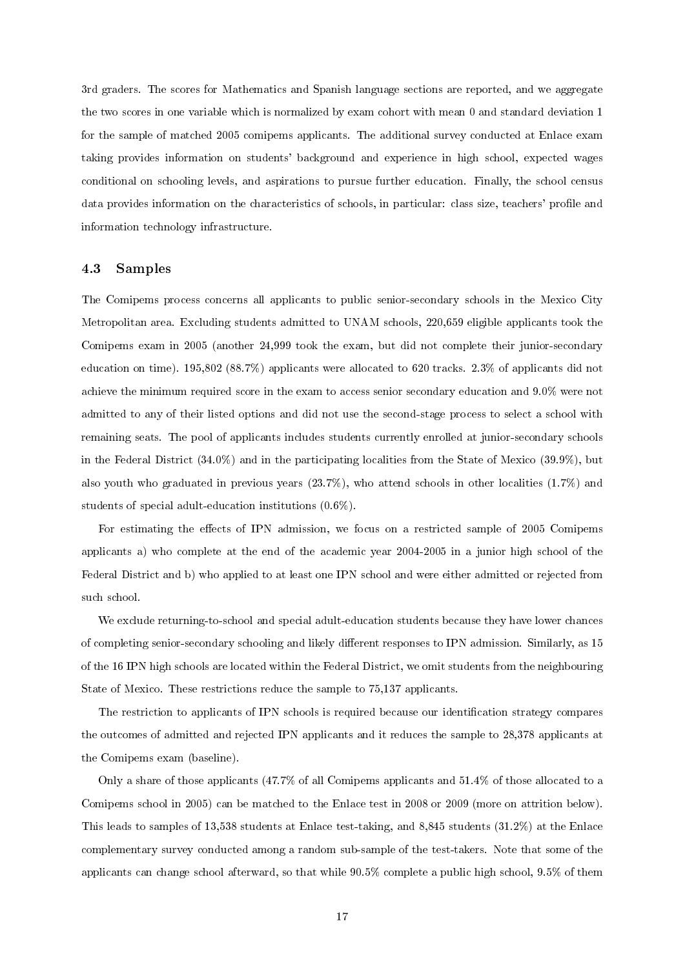3rd graders. The scores for Mathematics and Spanish language sections are reported, and we aggregate the two scores in one variable which is normalized by exam cohort with mean 0 and standard deviation 1 for the sample of matched 2005 comipems applicants. The additional survey conducted at Enlace exam taking provides information on students' background and experience in high school, expected wages conditional on schooling levels, and aspirations to pursue further education. Finally, the school census data provides information on the characteristics of schools, in particular: class size, teachers' profile and information technology infrastructure.

## 4.3 Samples

The Comipems process concerns all applicants to public senior-secondary schools in the Mexico City Metropolitan area. Excluding students admitted to UNAM schools, 220,659 eligible applicants took the Comipems exam in 2005 (another 24,999 took the exam, but did not complete their junior-secondary education on time). 195,802 (88.7%) applicants were allocated to 620 tracks. 2.3% of applicants did not achieve the minimum required score in the exam to access senior secondary education and 9.0% were not admitted to any of their listed options and did not use the second-stage process to select a school with remaining seats. The pool of applicants includes students currently enrolled at junior-secondary schools in the Federal District (34.0%) and in the participating localities from the State of Mexico (39.9%), but also youth who graduated in previous years (23.7%), who attend schools in other localities (1.7%) and students of special adult-education institutions (0.6%).

For estimating the effects of IPN admission, we focus on a restricted sample of 2005 Comipems applicants a) who complete at the end of the academic year 2004-2005 in a junior high school of the Federal District and b) who applied to at least one IPN school and were either admitted or rejected from such school.

We exclude returning-to-school and special adult-education students because they have lower chances of completing senior-secondary schooling and likely different responses to IPN admission. Similarly, as 15 of the 16 IPN high schools are located within the Federal District, we omit students from the neighbouring State of Mexico. These restrictions reduce the sample to 75,137 applicants.

The restriction to applicants of IPN schools is required because our identification strategy compares the outcomes of admitted and rejected IPN applicants and it reduces the sample to 28,378 applicants at the Comipems exam (baseline).

Only a share of those applicants (47.7% of all Comipems applicants and 51.4% of those allocated to a Comipems school in 2005) can be matched to the Enlace test in 2008 or 2009 (more on attrition below). This leads to samples of 13,538 students at Enlace test-taking, and 8,845 students (31.2%) at the Enlace complementary survey conducted among a random sub-sample of the test-takers. Note that some of the applicants can change school afterward, so that while 90.5% complete a public high school, 9.5% of them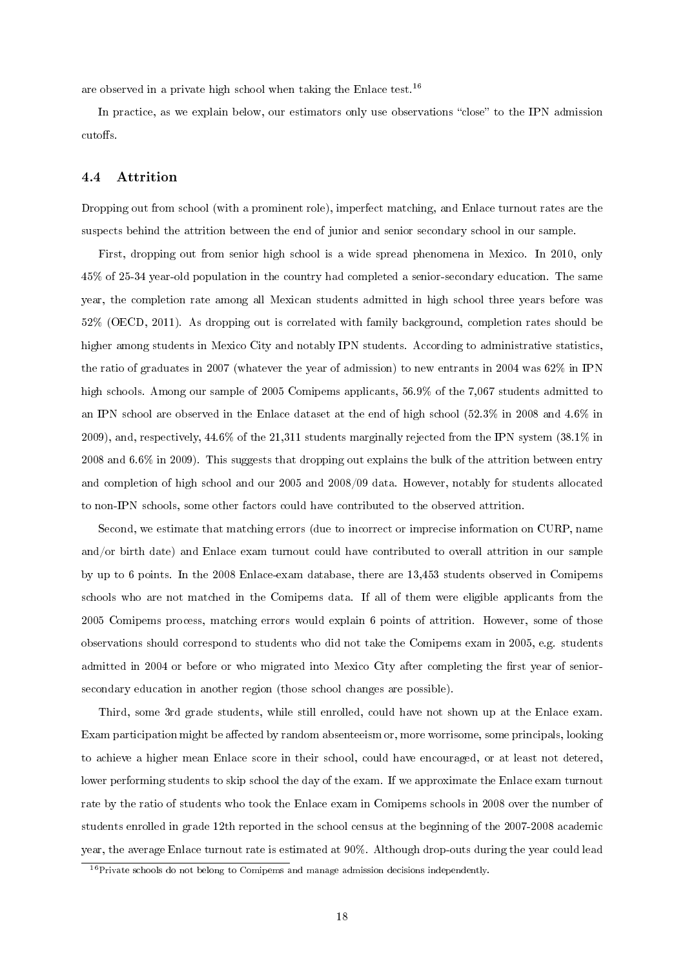are observed in a private high school when taking the Enlace test.<sup>16</sup>

In practice, as we explain below, our estimators only use observations "close" to the IPN admission cutoffs.

#### 4.4 Attrition

Dropping out from school (with a prominent role), imperfect matching, and Enlace turnout rates are the suspects behind the attrition between the end of junior and senior secondary school in our sample.

First, dropping out from senior high school is a wide spread phenomena in Mexico. In 2010, only 45% of 25-34 year-old population in the country had completed a senior-secondary education. The same year, the completion rate among all Mexican students admitted in high school three years before was 52% (OECD, 2011). As dropping out is correlated with family background, completion rates should be higher among students in Mexico City and notably IPN students. According to administrative statistics, the ratio of graduates in 2007 (whatever the year of admission) to new entrants in 2004 was 62% in IPN high schools. Among our sample of 2005 Comipems applicants, 56.9% of the 7,067 students admitted to an IPN school are observed in the Enlace dataset at the end of high school (52.3% in 2008 and 4.6% in 2009), and, respectively, 44.6% of the 21,311 students marginally rejected from the IPN system (38.1% in 2008 and 6.6% in 2009). This suggests that dropping out explains the bulk of the attrition between entry and completion of high school and our 2005 and 2008/09 data. However, notably for students allocated to non-IPN schools, some other factors could have contributed to the observed attrition.

Second, we estimate that matching errors (due to incorrect or imprecise information on CURP, name and/or birth date) and Enlace exam turnout could have contributed to overall attrition in our sample by up to 6 points. In the 2008 Enlace-exam database, there are 13,453 students observed in Comipems schools who are not matched in the Comipems data. If all of them were eligible applicants from the 2005 Comipems process, matching errors would explain 6 points of attrition. However, some of those observations should correspond to students who did not take the Comipems exam in 2005, e.g. students admitted in 2004 or before or who migrated into Mexico City after completing the first year of seniorsecondary education in another region (those school changes are possible).

Third, some 3rd grade students, while still enrolled, could have not shown up at the Enlace exam. Exam participation might be affected by random absenteeism or, more worrisome, some principals, looking to achieve a higher mean Enlace score in their school, could have encouraged, or at least not detered, lower performing students to skip school the day of the exam. If we approximate the Enlace exam turnout rate by the ratio of students who took the Enlace exam in Comipems schools in 2008 over the number of students enrolled in grade 12th reported in the school census at the beginning of the 2007-2008 academic year, the average Enlace turnout rate is estimated at 90%. Although drop-outs during the year could lead

<sup>&</sup>lt;sup>16</sup>Private schools do not belong to Comipems and manage admission decisions independently.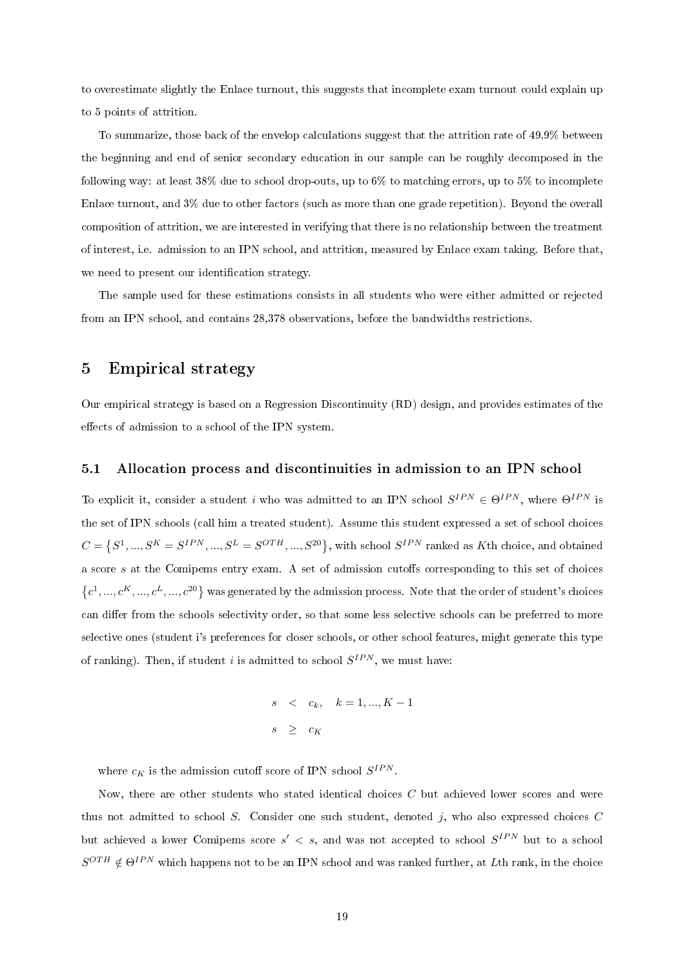to overestimate slightly the Enlace turnout, this suggests that incomplete exam turnout could explain up to 5 points of attrition.

To summarize, those back of the envelop calculations suggest that the attrition rate of 49.9% between the beginning and end of senior secondary education in our sample can be roughly decomposed in the following way: at least  $38\%$  due to school drop-outs, up to  $6\%$  to matching errors, up to  $5\%$  to incomplete Enlace turnout, and 3% due to other factors (such as more than one grade repetition). Beyond the overall composition of attrition, we are interested in verifying that there is no relationship between the treatment of interest, i.e. admission to an IPN school, and attrition, measured by Enlace exam taking. Before that, we need to present our identification strategy.

The sample used for these estimations consists in all students who were either admitted or rejected from an IPN school, and contains 28,378 observations, before the bandwidths restrictions.

## 5 Empirical strategy

Our empirical strategy is based on a Regression Discontinuity (RD) design, and provides estimates of the effects of admission to a school of the IPN system.

## 5.1 Allocation process and discontinuities in admission to an IPN school

To explicit it, consider a student i who was admitted to an IPN school  $S^{IPN} \in \Theta^{IPN}$ , where  $\Theta^{IPN}$  is the set of IPN schools (call him a treated student). Assume this student expressed a set of school choices  $C = \{S^1, ..., S^K = S^{IPN}, ..., S^L = S^{OTH}, ..., S^{20}\},\$  with school  $S^{IPN}$  ranked as Kth choice, and obtained a score  $s$  at the Comipems entry exam. A set of admission cutoffs corresponding to this set of choices  $\{c^1,...,c^K,...,c^L,...,c^{20}\}\$  was generated by the admission process. Note that the order of student's choices can differ from the schools selectivity order, so that some less selective schools can be preferred to more selective ones (student i's preferences for closer schools, or other school features, might generate this type of ranking). Then, if student i is admitted to school  $S^{IPN}$ , we must have:

$$
s < c_k, \quad k = 1, ..., K - 1
$$
  

$$
s \geq c_K
$$

where  $c_K$  is the admission cutoff score of IPN school  $S^{IPN}$ .

Now, there are other students who stated identical choices  $C$  but achieved lower scores and were thus not admitted to school S. Consider one such student, denoted j, who also expressed choices  $C$ but achieved a lower Comipems score  $s' < s$ , and was not accepted to school  $S^{IPN}$  but to a school  $S^{OTH} \notin \Theta^{IPN}$  which happens not to be an IPN school and was ranked further, at Lth rank, in the choice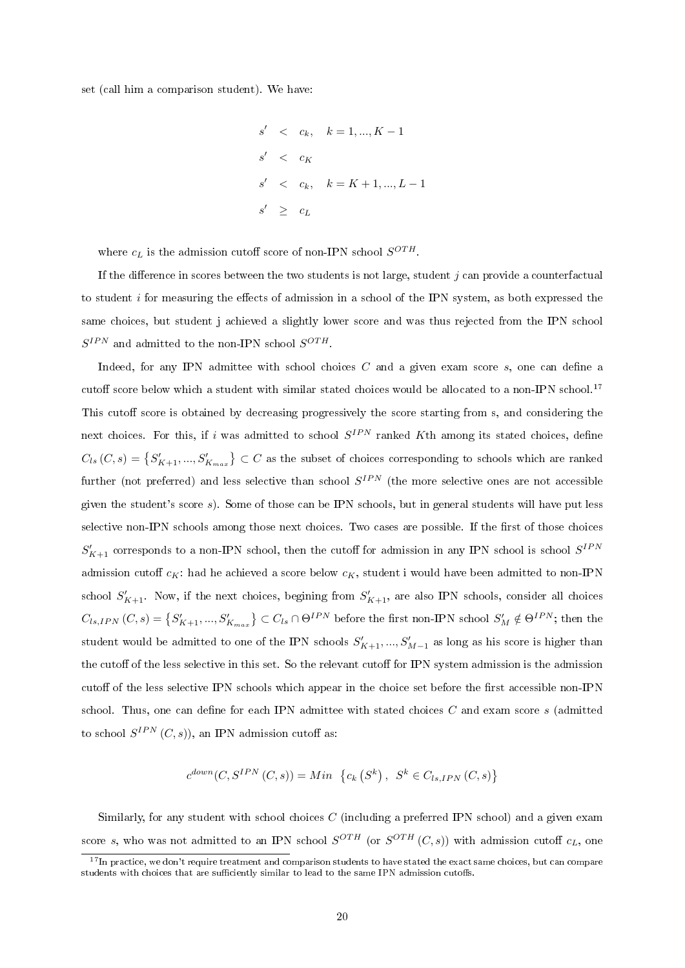set (call him a comparison student). We have:

$$
s' < c_k, \quad k = 1, \dots, K - 1
$$
\n
$$
s' < c_K
$$
\n
$$
s' < c_k, \quad k = K + 1, \dots, L - 1
$$
\n
$$
s' \geq c_L
$$

where  $c_L$  is the admission cutoff score of non-IPN school  $S^{OTH}$ .

If the difference in scores between the two students is not large, student  $j$  can provide a counterfactual to student i for measuring the effects of admission in a school of the IPN system, as both expressed the same choices, but student j achieved a slightly lower score and was thus rejected from the IPN school  $S^{IPN}$  and admitted to the non-IPN school  $S^{OTH}$ .

Indeed, for any IPN admittee with school choices  $C$  and a given exam score  $s$ , one can define a cutoff score below which a student with similar stated choices would be allocated to a non-IPN school.<sup>17</sup> This cutoff score is obtained by decreasing progressively the score starting from s, and considering the next choices. For this, if i was admitted to school  $S^{IPN}$  ranked Kth among its stated choices, define  $C_{ls}(C,s) = \left\{S_{K+1}',...,S_{K_{max}}'\right\} \subset C$  as the subset of choices corresponding to schools which are ranked further (not preferred) and less selective than school  $S^{IPN}$  (the more selective ones are not accessible given the student's score s). Some of those can be IPN schools, but in general students will have put less selective non-IPN schools among those next choices. Two cases are possible. If the first of those choices  $S'_{K+1}$  corresponds to a non-IPN school, then the cutoff for admission in any IPN school is school  $S^{IPN}$ admission cutoff  $c_K$ : had he achieved a score below  $c_K$ , student i would have been admitted to non-IPN school  $S'_{K+1}$ . Now, if the next choices, begining from  $S'_{K+1}$ , are also IPN schools, consider all choices  $C_{ls,IPN}\left (C,s \right )=\left \{ S_{K+1}',...,S_{K_{max}}'\right \} \subset C_{ls}\cap \Theta^{IPN}$  before the first non-IPN school  $S_{M}'\notin \Theta^{IPN};$  then the student would be admitted to one of the IPN schools  $S'_{K+1},...,S'_{M-1}$  as long as his score is higher than the cutoff of the less selective in this set. So the relevant cutoff for IPN system admission is the admission cutoff of the less selective IPN schools which appear in the choice set before the first accessible non-IPN school. Thus, one can define for each IPN admittee with stated choices  $C$  and exam score  $s$  (admitted to school  $S^{IPN}(C, s)$ , an IPN admission cutoff as:

$$
c^{down}(C, S^{IPN}(C, s)) = Min \{c_k(S^k), S^k \in C_{ls,IPN}(C, s)\}
$$

Similarly, for any student with school choices  $C$  (including a preferred IPN school) and a given exam score s, who was not admitted to an IPN school  $S^{OTH}$  (or  $S^{OTH}$   $(C,s)$ ) with admission cutoff  $c_L$ , one

 $17$ In practice, we don't require treatment and comparison students to have stated the exact same choices, but can compare students with choices that are sufficiently similar to lead to the same IPN admission cutoffs.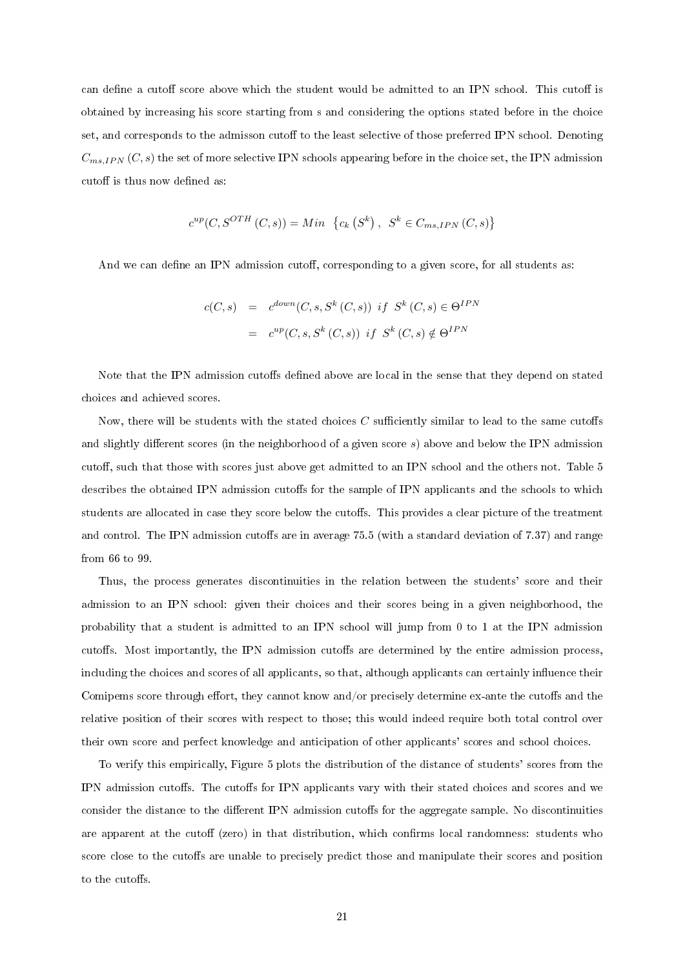can define a cutoff score above which the student would be admitted to an IPN school. This cutoff is obtained by increasing his score starting from s and considering the options stated before in the choice set, and corresponds to the admisson cutoff to the least selective of those preferred IPN school. Denoting  $C_{ms,IPN}(C, s)$  the set of more selective IPN schools appearing before in the choice set, the IPN admission cutoff is thus now defined as:

$$
c^{up}(C, S^{OTH}(C, s)) = Min \{c_k(S^k), S^k \in C_{ms, IPN}(C, s)\}
$$

And we can define an IPN admission cutoff, corresponding to a given score, for all students as:

$$
c(C, s) = c^{down}(C, s, S^k(C, s)) \text{ if } S^k(C, s) \in \Theta^{IPN}
$$

$$
= c^{up}(C, s, S^k(C, s)) \text{ if } S^k(C, s) \notin \Theta^{IPN}
$$

Note that the IPN admission cutoffs defined above are local in the sense that they depend on stated choices and achieved scores.

Now, there will be students with the stated choices  $C$  sufficiently similar to lead to the same cutoffs and slightly different scores (in the neighborhood of a given score  $s$ ) above and below the IPN admission cutoff, such that those with scores just above get admitted to an IPN school and the others not. Table 5 describes the obtained IPN admission cutoffs for the sample of IPN applicants and the schools to which students are allocated in case they score below the cutoffs. This provides a clear picture of the treatment and control. The IPN admission cutoffs are in average  $75.5$  (with a standard deviation of  $7.37$ ) and range from 66 to 99.

Thus, the process generates discontinuities in the relation between the students' score and their admission to an IPN school: given their choices and their scores being in a given neighborhood, the probability that a student is admitted to an IPN school will jump from 0 to 1 at the IPN admission cutoffs. Most importantly, the IPN admission cutoffs are determined by the entire admission process, including the choices and scores of all applicants, so that, although applicants can certainly influence their Comipems score through effort, they cannot know and/or precisely determine ex-ante the cutoffs and the relative position of their scores with respect to those; this would indeed require both total control over their own score and perfect knowledge and anticipation of other applicants' scores and school choices.

To verify this empirically, Figure 5 plots the distribution of the distance of students' scores from the IPN admission cutoffs. The cutoffs for IPN applicants vary with their stated choices and scores and we consider the distance to the different IPN admission cutoffs for the aggregate sample. No discontinuities are apparent at the cutoff (zero) in that distribution, which confirms local randomness: students who score close to the cutoffs are unable to precisely predict those and manipulate their scores and position to the cutoffs.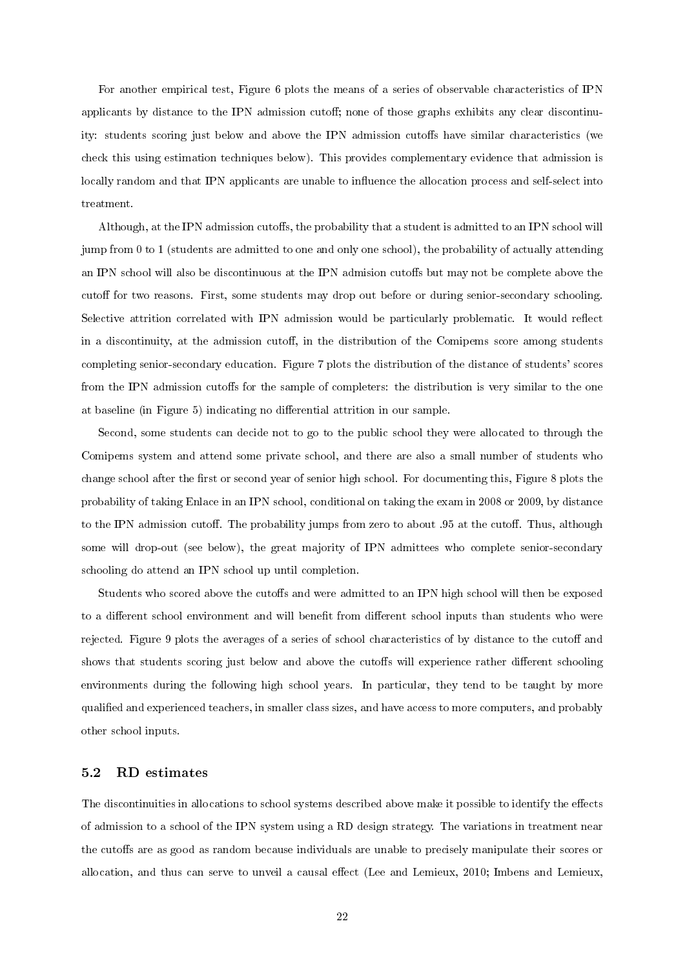For another empirical test, Figure 6 plots the means of a series of observable characteristics of IPN applicants by distance to the IPN admission cutoff; none of those graphs exhibits any clear discontinuity: students scoring just below and above the IPN admission cutoffs have similar characteristics (we check this using estimation techniques below). This provides complementary evidence that admission is locally random and that IPN applicants are unable to influence the allocation process and self-select into treatment.

Although, at the IPN admission cutoffs, the probability that a student is admitted to an IPN school will jump from 0 to 1 (students are admitted to one and only one school), the probability of actually attending an IPN school will also be discontinuous at the IPN admision cutoffs but may not be complete above the cutoff for two reasons. First, some students may drop out before or during senior-secondary schooling. Selective attrition correlated with IPN admission would be particularly problematic. It would reflect in a discontinuity, at the admission cutoff, in the distribution of the Comipems score among students completing senior-secondary education. Figure 7 plots the distribution of the distance of students' scores from the IPN admission cutoffs for the sample of completers: the distribution is very similar to the one at baseline (in Figure 5) indicating no differential attrition in our sample.

Second, some students can decide not to go to the public school they were allocated to through the Comipems system and attend some private school, and there are also a small number of students who change school after the first or second year of senior high school. For documenting this, Figure 8 plots the probability of taking Enlace in an IPN school, conditional on taking the exam in 2008 or 2009, by distance to the IPN admission cutoff. The probability jumps from zero to about .95 at the cutoff. Thus, although some will drop-out (see below), the great majority of IPN admittees who complete senior-secondary schooling do attend an IPN school up until completion.

Students who scored above the cutoffs and were admitted to an IPN high school will then be exposed to a different school environment and will benefit from different school inputs than students who were rejected. Figure 9 plots the averages of a series of school characteristics of by distance to the cutoff and shows that students scoring just below and above the cutoffs will experience rather different schooling environments during the following high school years. In particular, they tend to be taught by more qualified and experienced teachers, in smaller class sizes, and have access to more computers, and probably other school inputs.

## 5.2 RD estimates

The discontinuities in allocations to school systems described above make it possible to identify the effects of admission to a school of the IPN system using a RD design strategy. The variations in treatment near the cutoffs are as good as random because individuals are unable to precisely manipulate their scores or allocation, and thus can serve to unveil a causal effect (Lee and Lemieux, 2010; Imbens and Lemieux,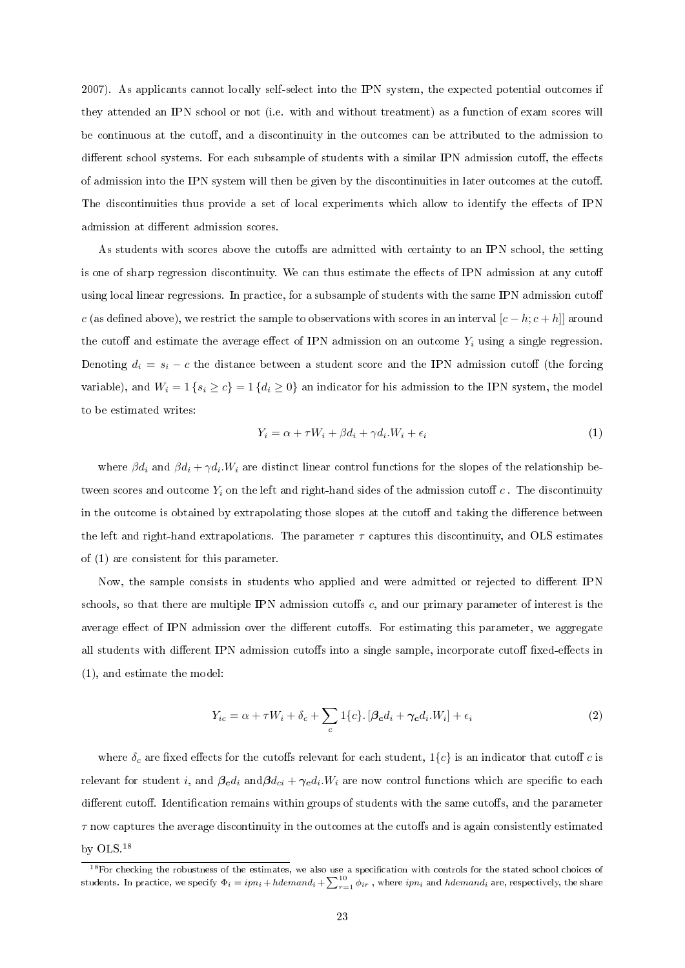2007). As applicants cannot locally self-select into the IPN system, the expected potential outcomes if they attended an IPN school or not (i.e. with and without treatment) as a function of exam scores will be continuous at the cutoff, and a discontinuity in the outcomes can be attributed to the admission to different school systems. For each subsample of students with a similar IPN admission cutoff, the effects of admission into the IPN system will then be given by the discontinuities in later outcomes at the cuto. The discontinuities thus provide a set of local experiments which allow to identify the effects of IPN admission at different admission scores.

As students with scores above the cutoffs are admitted with certainty to an IPN school, the setting is one of sharp regression discontinuity. We can thus estimate the effects of IPN admission at any cutoff using local linear regressions. In practice, for a subsample of students with the same IPN admission cutoff c (as defined above), we restrict the sample to observations with scores in an interval  $[c - h; c + h]]$  around the cutoff and estimate the average effect of IPN admission on an outcome  $Y_i$  using a single regression. Denoting  $d_i = s_i - c$  the distance between a student score and the IPN admission cutoff (the forcing variable), and  $W_i = 1$  { $s_i \ge c$ } = 1 { $d_i \ge 0$ } an indicator for his admission to the IPN system, the model to be estimated writes:

$$
Y_i = \alpha + \tau W_i + \beta d_i + \gamma d_i W_i + \epsilon_i \tag{1}
$$

where  $\beta d_i$  and  $\beta d_i + \gamma d_i W_i$  are distinct linear control functions for the slopes of the relationship between scores and outcome  $Y_i$  on the left and right-hand sides of the admission cutoff  $c$  . The discontinuity in the outcome is obtained by extrapolating those slopes at the cutoff and taking the difference between the left and right-hand extrapolations. The parameter  $\tau$  captures this discontinuity, and OLS estimates of (1) are consistent for this parameter.

Now, the sample consists in students who applied and were admitted or rejected to different IPN schools, so that there are multiple IPN admission cutoffs  $c$ , and our primary parameter of interest is the average effect of IPN admission over the different cutoffs. For estimating this parameter, we aggregate all students with different IPN admission cutoffs into a single sample, incorporate cutoff fixed-effects in (1), and estimate the model:

$$
Y_{ic} = \alpha + \tau W_i + \delta_c + \sum_c 1\{c\} \cdot [\beta_c d_i + \gamma_c d_i W_i] + \epsilon_i
$$
\n(2)

where  $\delta_c$  are fixed effects for the cutoffs relevant for each student,  $1\{c\}$  is an indicator that cutoff c is relevant for student i, and  $\beta_c d_i$  and $\beta d_{ci} + \gamma_c d_i. W_i$  are now control functions which are specific to each different cutoff. Identification remains within groups of students with the same cutoffs, and the parameter  $\tau$  now captures the average discontinuity in the outcomes at the cutoffs and is again consistently estimated by OLS.<sup>18</sup>

 $^{18}$  For checking the robustness of the estimates, we also use a specification with controls for the stated school choices of students. In practice, we specify  $\Phi_i=ipn_i+hdemand_i+\sum_{r=1}^{10} \phi_{ir}$  , where  $ipn_i$  and  $hdemand_i$  are, respectively, the share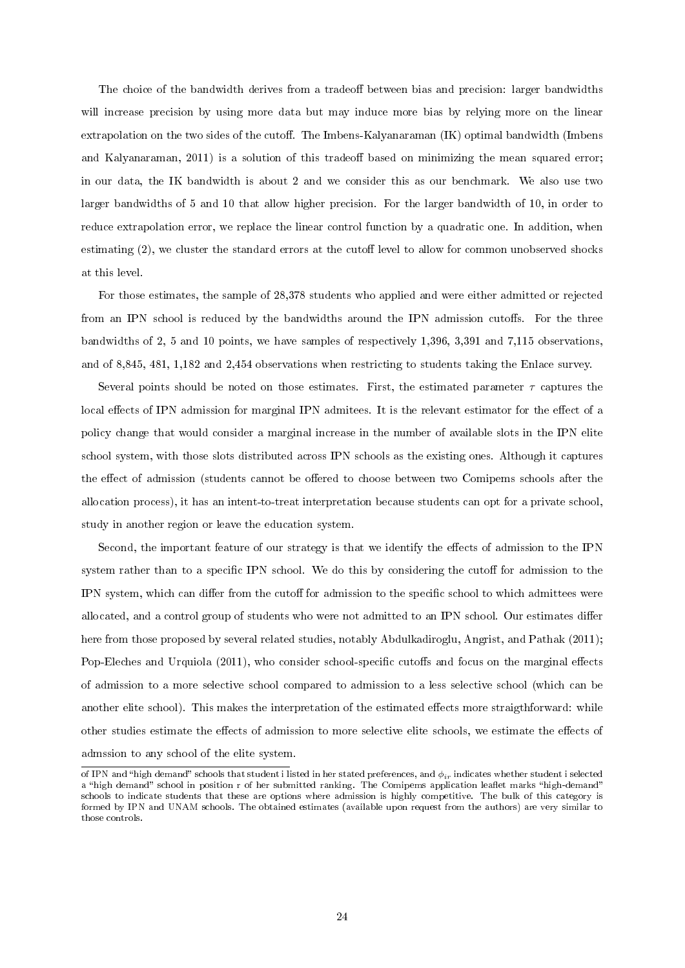The choice of the bandwidth derives from a tradeoff between bias and precision: larger bandwidths will increase precision by using more data but may induce more bias by relying more on the linear extrapolation on the two sides of the cutoff. The Imbens-Kalyanaraman (IK) optimal bandwidth (Imbens and Kalyanaraman, 2011) is a solution of this tradeoff based on minimizing the mean squared error; in our data, the IK bandwidth is about 2 and we consider this as our benchmark. We also use two larger bandwidths of 5 and 10 that allow higher precision. For the larger bandwidth of 10, in order to reduce extrapolation error, we replace the linear control function by a quadratic one. In addition, when estimating  $(2)$ , we cluster the standard errors at the cutoff level to allow for common unobserved shocks at this level.

For those estimates, the sample of 28,378 students who applied and were either admitted or rejected from an IPN school is reduced by the bandwidths around the IPN admission cutoffs. For the three bandwidths of 2, 5 and 10 points, we have samples of respectively 1,396, 3,391 and 7,115 observations, and of 8,845, 481, 1,182 and 2,454 observations when restricting to students taking the Enlace survey.

Several points should be noted on those estimates. First, the estimated parameter  $\tau$  captures the local effects of IPN admission for marginal IPN admitees. It is the relevant estimator for the effect of a policy change that would consider a marginal increase in the number of available slots in the IPN elite school system, with those slots distributed across IPN schools as the existing ones. Although it captures the effect of admission (students cannot be offered to choose between two Comipems schools after the allocation process), it has an intent-to-treat interpretation because students can opt for a private school, study in another region or leave the education system.

Second, the important feature of our strategy is that we identify the effects of admission to the IPN system rather than to a specific IPN school. We do this by considering the cutoff for admission to the IPN system, which can differ from the cutoff for admission to the specific school to which admittees were allocated, and a control group of students who were not admitted to an IPN school. Our estimates differ here from those proposed by several related studies, notably Abdulkadiroglu, Angrist, and Pathak (2011); Pop-Eleches and Urquiola (2011), who consider school-specific cutoffs and focus on the marginal effects of admission to a more selective school compared to admission to a less selective school (which can be another elite school). This makes the interpretation of the estimated effects more straigthforward: while other studies estimate the effects of admission to more selective elite schools, we estimate the effects of admssion to any school of the elite system.

of IPN and "high demand" schools that student i listed in her stated preferences, and  $\phi_{ir}$  indicates whether student i selected a "high demand" school in position r of her submitted ranking. The Comipems application leaflet marks "high-demand" schools to indicate students that these are options where admission is highly competitive. The bulk of this category is formed by IPN and UNAM schools. The obtained estimates (available upon request from the authors) are very similar to those controls.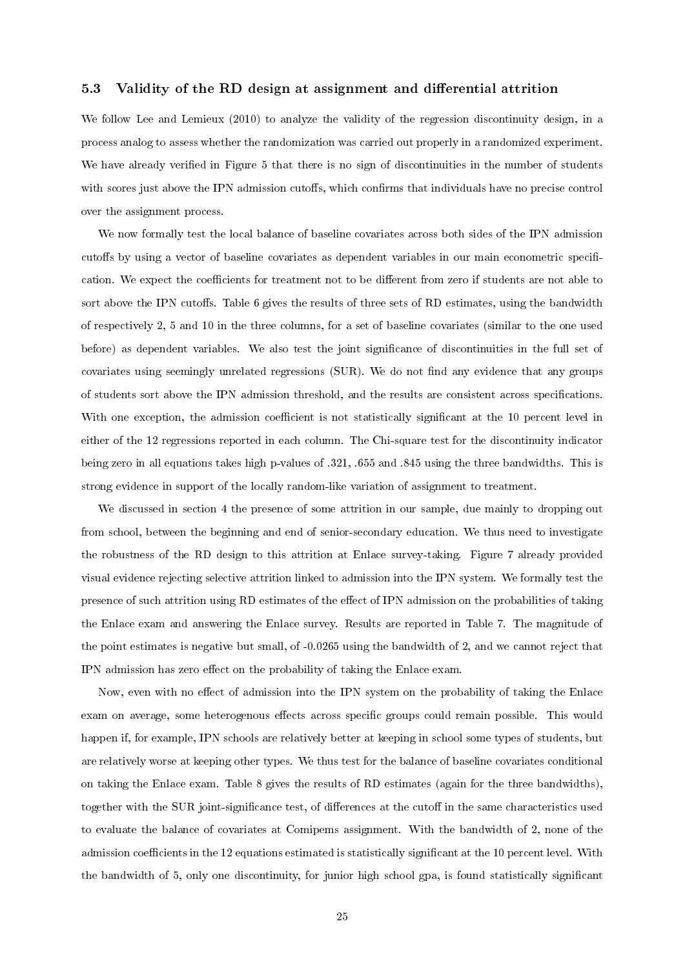## 5.3 Validity of the RD design at assignment and differential attrition

We follow Lee and Lemieux (2010) to analyze the validity of the regression discontinuity design, in a process analog to assess whether the randomization was carried out properly in a randomized experiment. We have already verified in Figure 5 that there is no sign of discontinuities in the number of students with scores just above the IPN admission cutoffs, which confirms that individuals have no precise control over the assignment process.

We now formally test the local balance of baseline covariates across both sides of the IPN admission cutoffs by using a vector of baseline covariates as dependent variables in our main econometric specification. We expect the coefficients for treatment not to be different from zero if students are not able to sort above the IPN cutoffs. Table 6 gives the results of three sets of RD estimates, using the bandwidth of respectively 2, 5 and 10 in the three columns, for a set of baseline covariates (similar to the one used before) as dependent variables. We also test the joint signicance of discontinuities in the full set of covariates using seemingly unrelated regressions  $(SUR)$ . We do not find any evidence that any groups of students sort above the IPN admission threshold, and the results are consistent across specications. With one exception, the admission coefficient is not statistically significant at the 10 percent level in either of the 12 regressions reported in each column. The Chi-square test for the discontinuity indicator being zero in all equations takes high p-values of .321, .655 and .845 using the three bandwidths. This is strong evidence in support of the locally random-like variation of assignment to treatment.

We discussed in section 4 the presence of some attrition in our sample, due mainly to dropping out from school, between the beginning and end of senior-secondary education. We thus need to investigate the robustness of the RD design to this attrition at Enlace survey-taking. Figure 7 already provided visual evidence rejecting selective attrition linked to admission into the IPN system. We formally test the presence of such attrition using RD estimates of the effect of IPN admission on the probabilities of taking the Enlace exam and answering the Enlace survey. Results are reported in Table 7. The magnitude of the point estimates is negative but small, of -0.0265 using the bandwidth of 2, and we cannot reject that IPN admission has zero effect on the probability of taking the Enlace exam.

Now, even with no effect of admission into the IPN system on the probability of taking the Enlace exam on average, some heterogenous effects across specific groups could remain possible. This would happen if, for example, IPN schools are relatively better at keeping in school some types of students, but are relatively worse at keeping other types. We thus test for the balance of baseline covariates conditional on taking the Enlace exam. Table 8 gives the results of RD estimates (again for the three bandwidths), together with the SUR joint-significance test, of differences at the cutoff in the same characteristics used to evaluate the balance of covariates at Comipems assignment. With the bandwidth of 2, none of the admission coefficients in the 12 equations estimated is statistically significant at the 10 percent level. With the bandwidth of 5, only one discontinuity, for junior high school gpa, is found statistically significant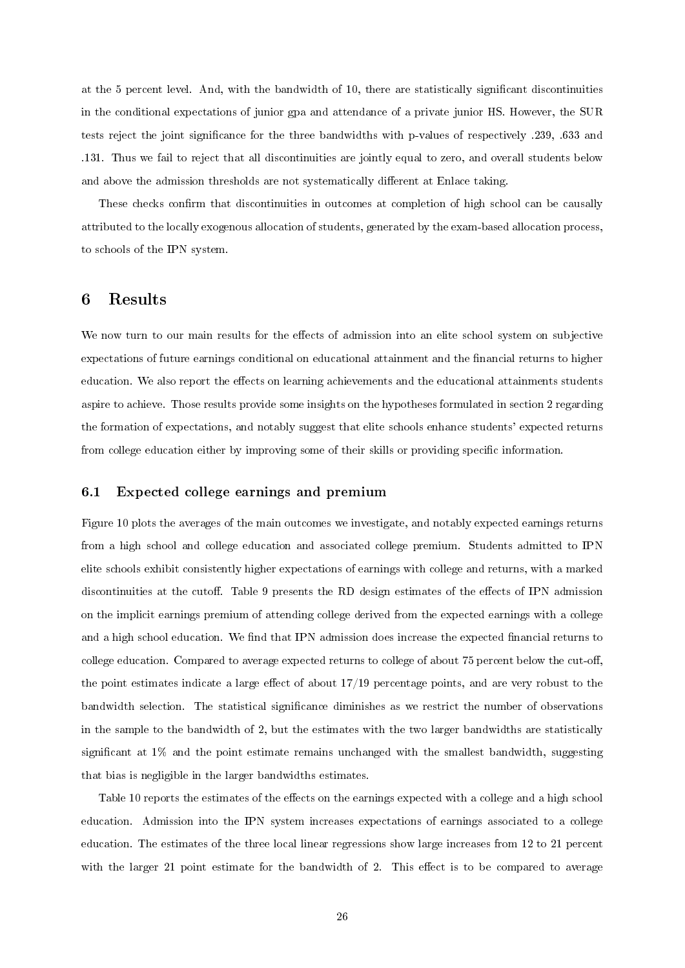at the 5 percent level. And, with the bandwidth of 10, there are statistically significant discontinuities in the conditional expectations of junior gpa and attendance of a private junior HS. However, the SUR tests reject the joint signicance for the three bandwidths with p-values of respectively .239, .633 and .131. Thus we fail to reject that all discontinuities are jointly equal to zero, and overall students below and above the admission thresholds are not systematically different at Enlace taking.

These checks confirm that discontinuities in outcomes at completion of high school can be causally attributed to the locally exogenous allocation of students, generated by the exam-based allocation process, to schools of the IPN system.

# 6 Results

We now turn to our main results for the effects of admission into an elite school system on subjective expectations of future earnings conditional on educational attainment and the financial returns to higher education. We also report the effects on learning achievements and the educational attainments students aspire to achieve. Those results provide some insights on the hypotheses formulated in section 2 regarding the formation of expectations, and notably suggest that elite schools enhance students' expected returns from college education either by improving some of their skills or providing specific information.

#### 6.1 Expected college earnings and premium

Figure 10 plots the averages of the main outcomes we investigate, and notably expected earnings returns from a high school and college education and associated college premium. Students admitted to IPN elite schools exhibit consistently higher expectations of earnings with college and returns, with a marked discontinuities at the cutoff. Table 9 presents the RD design estimates of the effects of IPN admission on the implicit earnings premium of attending college derived from the expected earnings with a college and a high school education. We find that IPN admission does increase the expected financial returns to college education. Compared to average expected returns to college of about 75 percent below the cut-off, the point estimates indicate a large effect of about  $17/19$  percentage points, and are very robust to the bandwidth selection. The statistical significance diminishes as we restrict the number of observations in the sample to the bandwidth of 2, but the estimates with the two larger bandwidths are statistically significant at  $1\%$  and the point estimate remains unchanged with the smallest bandwidth, suggesting that bias is negligible in the larger bandwidths estimates.

Table 10 reports the estimates of the effects on the earnings expected with a college and a high school education. Admission into the IPN system increases expectations of earnings associated to a college education. The estimates of the three local linear regressions show large increases from 12 to 21 percent with the larger 21 point estimate for the bandwidth of 2. This effect is to be compared to average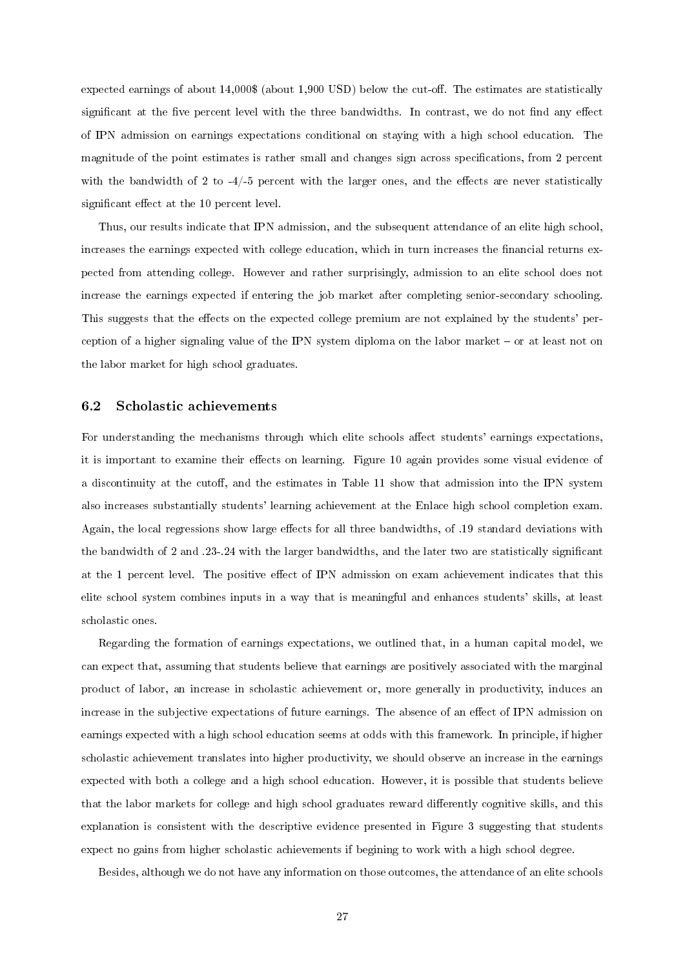expected earnings of about  $14,000\$  (about 1,900 USD) below the cut-off. The estimates are statistically significant at the five percent level with the three bandwidths. In contrast, we do not find any effect of IPN admission on earnings expectations conditional on staying with a high school education. The magnitude of the point estimates is rather small and changes sign across specifications, from 2 percent with the bandwidth of 2 to  $-4/-5$  percent with the larger ones, and the effects are never statistically significant effect at the 10 percent level.

Thus, our results indicate that IPN admission, and the subsequent attendance of an elite high school, increases the earnings expected with college education, which in turn increases the financial returns expected from attending college. However and rather surprisingly, admission to an elite school does not increase the earnings expected if entering the job market after completing senior-secondary schooling. This suggests that the effects on the expected college premium are not explained by the students' perception of a higher signaling value of the IPN system diploma on the labor market  $-$  or at least not on the labor market for high school graduates.

#### 6.2 Scholastic achievements

For understanding the mechanisms through which elite schools affect students' earnings expectations, it is important to examine their effects on learning. Figure 10 again provides some visual evidence of a discontinuity at the cutoff, and the estimates in Table 11 show that admission into the IPN system also increases substantially students' learning achievement at the Enlace high school completion exam. Again, the local regressions show large effects for all three bandwidths, of .19 standard deviations with the bandwidth of 2 and .23-.24 with the larger bandwidths, and the later two are statistically signicant at the 1 percent level. The positive effect of IPN admission on exam achievement indicates that this elite school system combines inputs in a way that is meaningful and enhances students' skills, at least scholastic ones.

Regarding the formation of earnings expectations, we outlined that, in a human capital model, we can expect that, assuming that students believe that earnings are positively associated with the marginal product of labor, an increase in scholastic achievement or, more generally in productivity, induces an increase in the subjective expectations of future earnings. The absence of an effect of IPN admission on earnings expected with a high school education seems at odds with this framework. In principle, if higher scholastic achievement translates into higher productivity, we should observe an increase in the earnings expected with both a college and a high school education. However, it is possible that students believe that the labor markets for college and high school graduates reward differently cognitive skills, and this explanation is consistent with the descriptive evidence presented in Figure 3 suggesting that students expect no gains from higher scholastic achievements if begining to work with a high school degree.

Besides, although we do not have any information on those outcomes, the attendance of an elite schools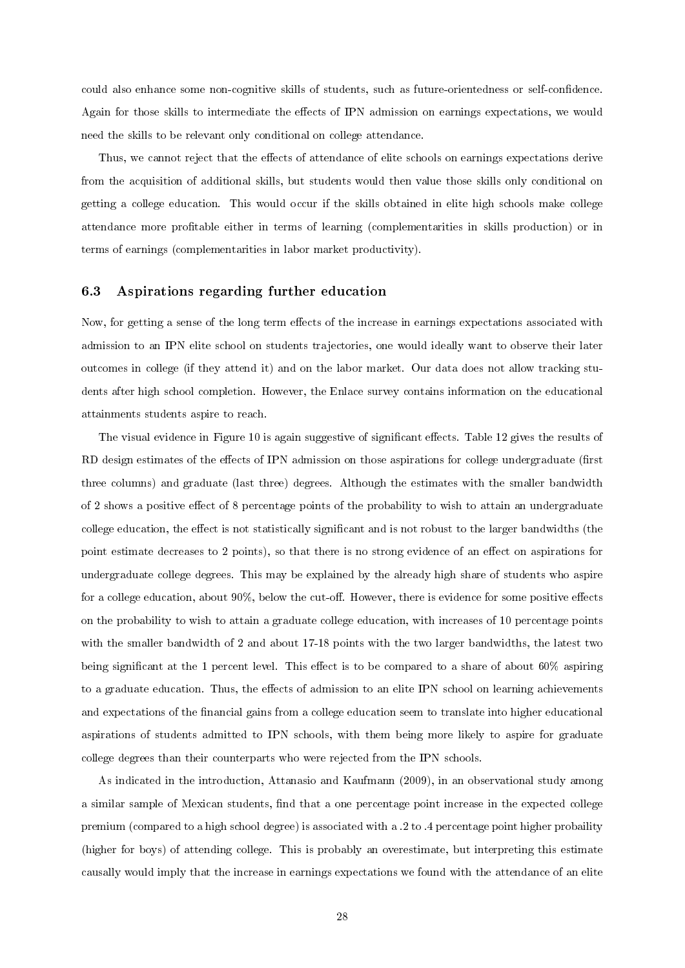could also enhance some non-cognitive skills of students, such as future-orientedness or self-condence. Again for those skills to intermediate the effects of IPN admission on earnings expectations, we would need the skills to be relevant only conditional on college attendance.

Thus, we cannot reject that the effects of attendance of elite schools on earnings expectations derive from the acquisition of additional skills, but students would then value those skills only conditional on getting a college education. This would occur if the skills obtained in elite high schools make college attendance more profitable either in terms of learning (complementarities in skills production) or in terms of earnings (complementarities in labor market productivity).

#### 6.3 Aspirations regarding further education

Now, for getting a sense of the long term effects of the increase in earnings expectations associated with admission to an IPN elite school on students trajectories, one would ideally want to observe their later outcomes in college (if they attend it) and on the labor market. Our data does not allow tracking students after high school completion. However, the Enlace survey contains information on the educational attainments students aspire to reach.

The visual evidence in Figure 10 is again suggestive of significant effects. Table 12 gives the results of RD design estimates of the effects of IPN admission on those aspirations for college undergraduate (first three columns) and graduate (last three) degrees. Although the estimates with the smaller bandwidth of 2 shows a positive effect of 8 percentage points of the probability to wish to attain an undergraduate college education, the effect is not statistically significant and is not robust to the larger bandwidths (the point estimate decreases to 2 points), so that there is no strong evidence of an effect on aspirations for undergraduate college degrees. This may be explained by the already high share of students who aspire for a college education, about  $90\%$ , below the cut-off. However, there is evidence for some positive effects on the probability to wish to attain a graduate college education, with increases of 10 percentage points with the smaller bandwidth of 2 and about 17-18 points with the two larger bandwidths, the latest two being significant at the 1 percent level. This effect is to be compared to a share of about  $60\%$  aspiring to a graduate education. Thus, the effects of admission to an elite IPN school on learning achievements and expectations of the financial gains from a college education seem to translate into higher educational aspirations of students admitted to IPN schools, with them being more likely to aspire for graduate college degrees than their counterparts who were rejected from the IPN schools.

As indicated in the introduction, Attanasio and Kaufmann (2009), in an observational study among a similar sample of Mexican students, find that a one percentage point increase in the expected college premium (compared to a high school degree) is associated with a .2 to .4 percentage point higher probaility (higher for boys) of attending college. This is probably an overestimate, but interpreting this estimate causally would imply that the increase in earnings expectations we found with the attendance of an elite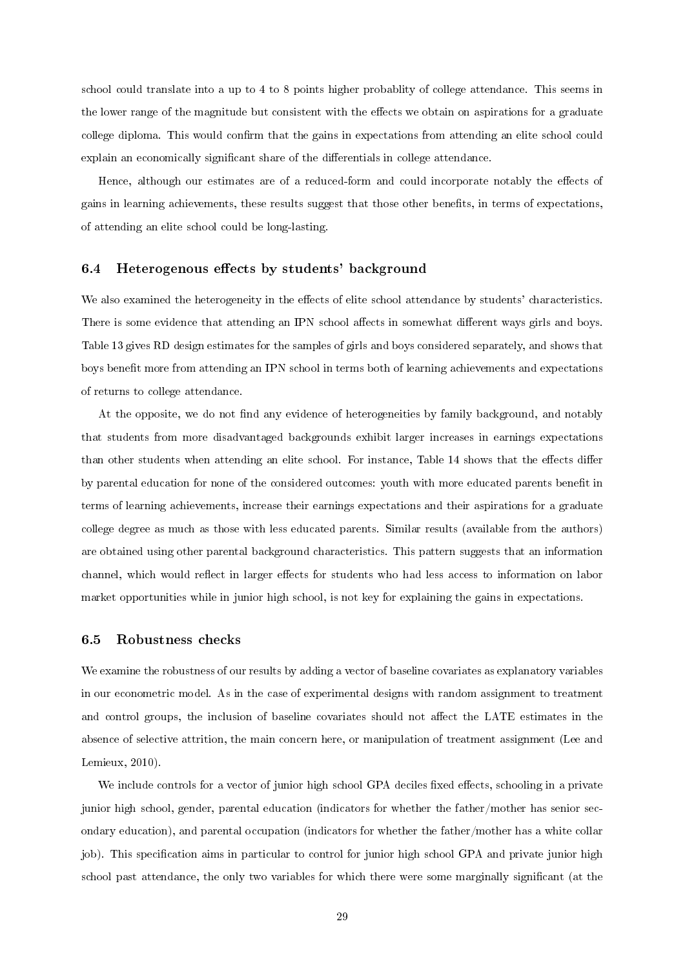school could translate into a up to 4 to 8 points higher probablity of college attendance. This seems in the lower range of the magnitude but consistent with the effects we obtain on aspirations for a graduate college diploma. This would confirm that the gains in expectations from attending an elite school could explain an economically significant share of the differentials in college attendance.

Hence, although our estimates are of a reduced-form and could incorporate notably the effects of gains in learning achievements, these results suggest that those other benets, in terms of expectations, of attending an elite school could be long-lasting.

#### 6.4 Heterogenous effects by students' background

We also examined the heterogeneity in the effects of elite school attendance by students' characteristics. There is some evidence that attending an IPN school affects in somewhat different ways girls and boys. Table 13 gives RD design estimates for the samples of girls and boys considered separately, and shows that boys benefit more from attending an IPN school in terms both of learning achievements and expectations of returns to college attendance.

At the opposite, we do not find any evidence of heterogeneities by family background, and notably that students from more disadvantaged backgrounds exhibit larger increases in earnings expectations than other students when attending an elite school. For instance, Table 14 shows that the effects differ by parental education for none of the considered outcomes: youth with more educated parents benefit in terms of learning achievements, increase their earnings expectations and their aspirations for a graduate college degree as much as those with less educated parents. Similar results (available from the authors) are obtained using other parental background characteristics. This pattern suggests that an information channel, which would reflect in larger effects for students who had less access to information on labor market opportunities while in junior high school, is not key for explaining the gains in expectations.

#### 6.5 Robustness checks

We examine the robustness of our results by adding a vector of baseline covariates as explanatory variables in our econometric model. As in the case of experimental designs with random assignment to treatment and control groups, the inclusion of baseline covariates should not affect the LATE estimates in the absence of selective attrition, the main concern here, or manipulation of treatment assignment (Lee and Lemieux, 2010).

We include controls for a vector of junior high school GPA deciles fixed effects, schooling in a private junior high school, gender, parental education (indicators for whether the father/mother has senior secondary education), and parental occupation (indicators for whether the father/mother has a white collar job). This specification aims in particular to control for junior high school GPA and private junior high school past attendance, the only two variables for which there were some marginally significant (at the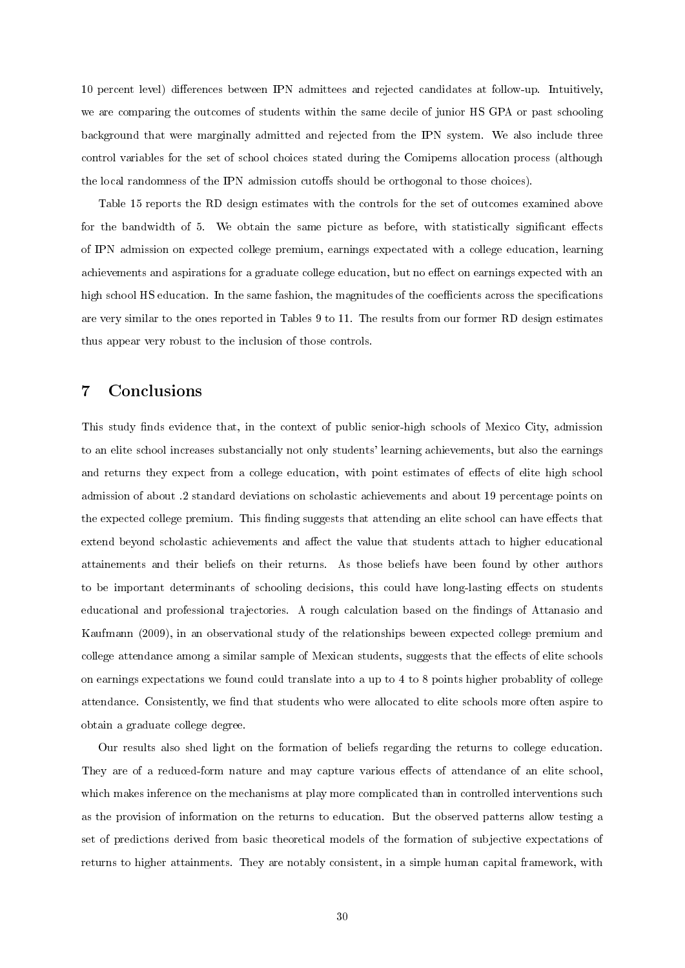10 percent level) differences between IPN admittees and rejected candidates at follow-up. Intuitively, we are comparing the outcomes of students within the same decile of junior HS GPA or past schooling background that were marginally admitted and rejected from the IPN system. We also include three control variables for the set of school choices stated during the Comipems allocation process (although the local randomness of the IPN admission cutoffs should be orthogonal to those choices).

Table 15 reports the RD design estimates with the controls for the set of outcomes examined above for the bandwidth of 5. We obtain the same picture as before, with statistically significant effects of IPN admission on expected college premium, earnings expectated with a college education, learning achievements and aspirations for a graduate college education, but no effect on earnings expected with an high school HS education. In the same fashion, the magnitudes of the coefficients across the specifications are very similar to the ones reported in Tables 9 to 11. The results from our former RD design estimates thus appear very robust to the inclusion of those controls.

# 7 Conclusions

This study finds evidence that, in the context of public senior-high schools of Mexico City, admission to an elite school increases substancially not only students' learning achievements, but also the earnings and returns they expect from a college education, with point estimates of effects of elite high school admission of about .2 standard deviations on scholastic achievements and about 19 percentage points on the expected college premium. This finding suggests that attending an elite school can have effects that extend beyond scholastic achievements and affect the value that students attach to higher educational attainements and their beliefs on their returns. As those beliefs have been found by other authors to be important determinants of schooling decisions, this could have long-lasting effects on students educational and professional trajectories. A rough calculation based on the findings of Attanasio and Kaufmann (2009), in an observational study of the relationships beween expected college premium and college attendance among a similar sample of Mexican students, suggests that the effects of elite schools on earnings expectations we found could translate into a up to 4 to 8 points higher probablity of college attendance. Consistently, we find that students who were allocated to elite schools more often aspire to obtain a graduate college degree.

Our results also shed light on the formation of beliefs regarding the returns to college education. They are of a reduced-form nature and may capture various effects of attendance of an elite school, which makes inference on the mechanisms at play more complicated than in controlled interventions such as the provision of information on the returns to education. But the observed patterns allow testing a set of predictions derived from basic theoretical models of the formation of subjective expectations of returns to higher attainments. They are notably consistent, in a simple human capital framework, with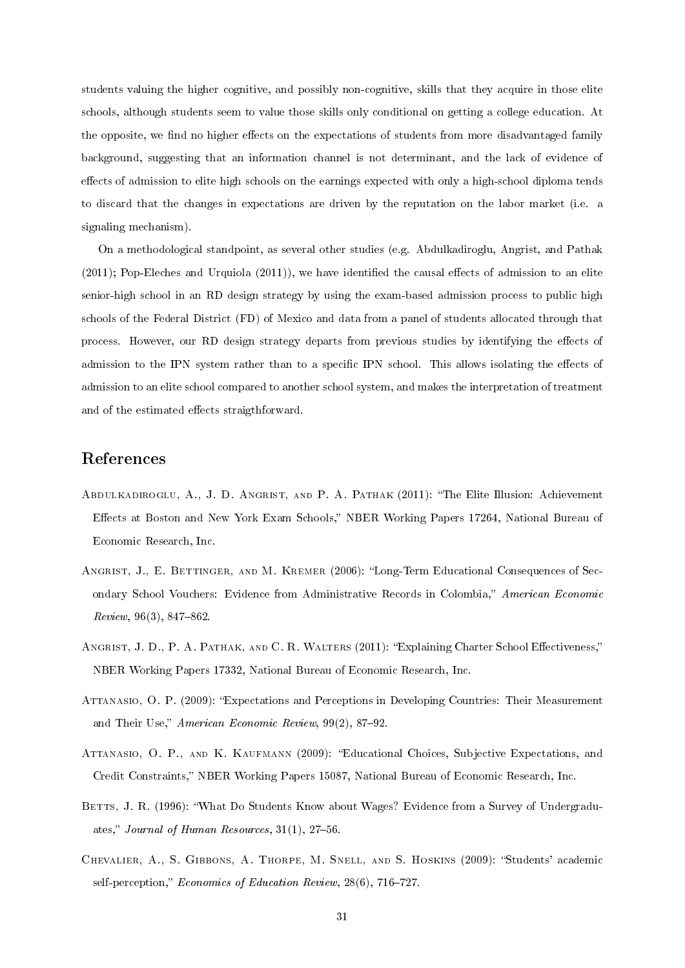students valuing the higher cognitive, and possibly non-cognitive, skills that they acquire in those elite schools, although students seem to value those skills only conditional on getting a college education. At the opposite, we find no higher effects on the expectations of students from more disadvantaged family background, suggesting that an information channel is not determinant, and the lack of evidence of effects of admission to elite high schools on the earnings expected with only a high-school diploma tends to discard that the changes in expectations are driven by the reputation on the labor market (i.e. a signaling mechanism).

On a methodological standpoint, as several other studies (e.g. Abdulkadiroglu, Angrist, and Pathak  $(2011)$ ; Pop-Eleches and Urquiola  $(2011)$ ), we have identified the causal effects of admission to an elite senior-high school in an RD design strategy by using the exam-based admission process to public high schools of the Federal District (FD) of Mexico and data from a panel of students allocated through that process. However, our RD design strategy departs from previous studies by identifying the effects of admission to the IPN system rather than to a specific IPN school. This allows isolating the effects of admission to an elite school compared to another school system, and makes the interpretation of treatment and of the estimated effects straigthforward.

# References

- Abdulkadiroglu, A., J. D. Angrist, and P. A. Pathak (2011): The Elite Illusion: Achievement Effects at Boston and New York Exam Schools," NBER Working Papers 17264, National Bureau of Economic Research, Inc.
- ANGRIST, J., E. BETTINGER, AND M. KREMER (2006): "Long-Term Educational Consequences of Secondary School Vouchers: Evidence from Administrative Records in Colombia," American Economic  $Review, 96(3), 847–862.$
- ANGRIST, J. D., P. A. PATHAK, AND C. R. WALTERS (2011): "Explaining Charter School Effectiveness," NBER Working Papers 17332, National Bureau of Economic Research, Inc.
- Attanasio, O. P. (2009): Expectations and Perceptions in Developing Countries: Their Measurement and Their Use," American Economic Review, 99(2), 87-92.
- Attanasio, O. P., and K. Kaufmann (2009): Educational Choices, Subjective Expectations, and Credit Constraints, NBER Working Papers 15087, National Bureau of Economic Research, Inc.
- BETTS, J. R. (1996): "What Do Students Know about Wages? Evidence from a Survey of Undergraduates," Journal of Human Resources,  $31(1)$ ,  $27-56$ .
- CHEVALIER, A., S. GIBBONS, A. THORPE, M. SNELL, AND S. HOSKINS (2009): "Students' academic self-perception," Economics of Education Review,  $28(6)$ , 716-727.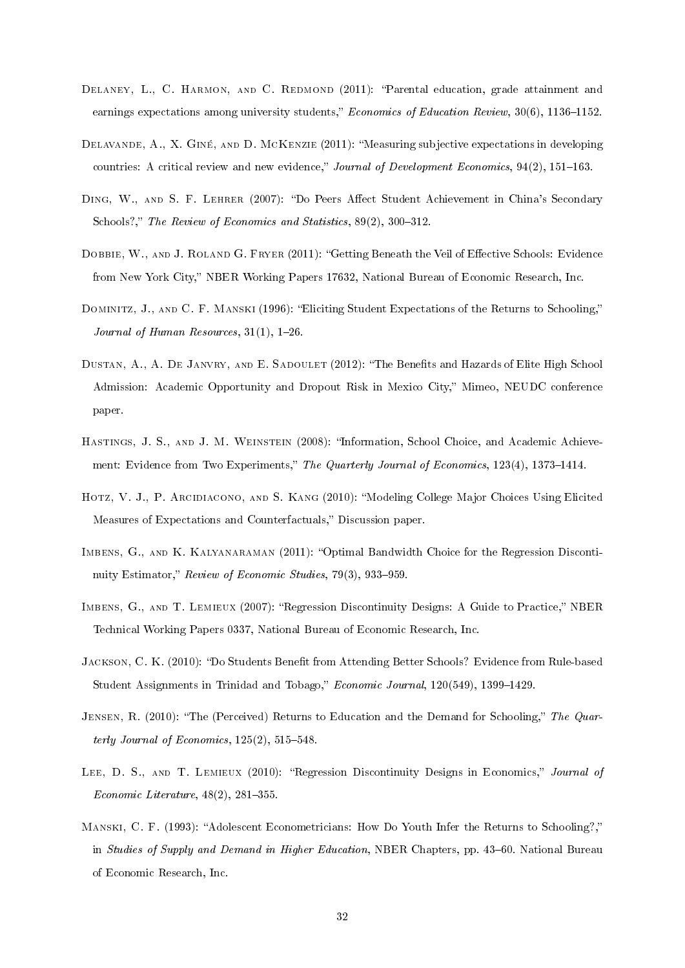- DELANEY, L., C. HARMON, AND C. REDMOND (2011): "Parental education, grade attainment and earnings expectations among university students," Economics of Education Review,  $30(6)$ , 1136–1152.
- Delavande, A., X. Giné, and D. McKenzie (2011): Measuring subjective expectations in developing countries: A critical review and new evidence," Journal of Development Economics,  $94(2)$ ,  $151-163$ .
- DING, W., AND S. F. LEHRER (2007): "Do Peers Affect Student Achievement in China's Secondary Schools?," The Review of Economics and Statistics,  $89(2)$ ,  $300-312$ .
- DOBBIE, W., AND J. ROLAND G. FRYER (2011): "Getting Beneath the Veil of Effective Schools: Evidence from New York City," NBER Working Papers 17632, National Bureau of Economic Research, Inc.
- DOMINITZ, J., AND C. F. MANSKI (1996): "Eliciting Student Expectations of the Returns to Schooling," Journal of Human Resources,  $31(1)$ ,  $1-26$ .
- DUSTAN, A., A. DE JANVRY, AND E. SADOULET (2012): "The Benefits and Hazards of Elite High School Admission: Academic Opportunity and Dropout Risk in Mexico City," Mimeo, NEUDC conference paper.
- Hastings, J. S., and J. M. Weinstein (2008): Information, School Choice, and Academic Achievement: Evidence from Two Experiments," The Quarterly Journal of Economics, 123(4), 1373-1414.
- HOTZ, V. J., P. ARCIDIACONO, AND S. KANG (2010): "Modeling College Major Choices Using Elicited Measures of Expectations and Counterfactuals," Discussion paper.
- IMBENS, G., AND K. KALYANARAMAN (2011): "Optimal Bandwidth Choice for the Regression Discontinuity Estimator," Review of Economic Studies,  $79(3)$ ,  $933-959$ .
- IMBENS, G., AND T. LEMIEUX (2007): "Regression Discontinuity Designs: A Guide to Practice," NBER Technical Working Papers 0337, National Bureau of Economic Research, Inc.
- JACKSON, C. K. (2010): "Do Students Benefit from Attending Better Schools? Evidence from Rule-based Student Assignments in Trinidad and Tobago," Economic Journal, 120(549), 1399-1429.
- JENSEN, R. (2010): "The (Perceived) Returns to Education and the Demand for Schooling," The Quarterly Journal of Economics,  $125(2)$ ,  $515-548$ .
- LEE, D. S., AND T. LEMIEUX (2010): "Regression Discontinuity Designs in Economics," Journal of Economic Literature,  $48(2)$ ,  $281-355$ .
- MANSKI, C. F. (1993): "Adolescent Econometricians: How Do Youth Infer the Returns to Schooling?," in Studies of Supply and Demand in Higher Education, NBER Chapters, pp. 43–60. National Bureau of Economic Research, Inc.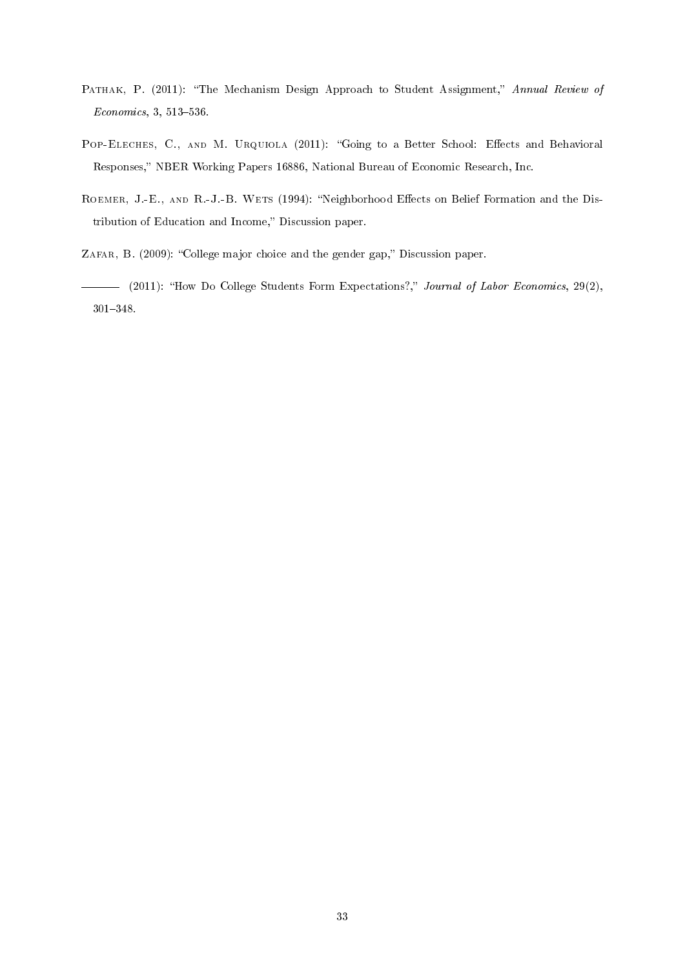- PATHAK, P. (2011): "The Mechanism Design Approach to Student Assignment," Annual Review of  $Economics, 3, 513-536.$
- POP-ELECHES, C., AND M. URQUIOLA (2011): "Going to a Better School: Effects and Behavioral Responses," NBER Working Papers 16886, National Bureau of Economic Research, Inc.
- ROEMER, J.-E., AND R.-J.-B. WETS (1994): "Neighborhood Effects on Belief Formation and the Distribution of Education and Income," Discussion paper.
- ZAFAR, B. (2009): "College major choice and the gender gap," Discussion paper.
- (2011): "How Do College Students Form Expectations?," Journal of Labor Economics, 29(2), 301348.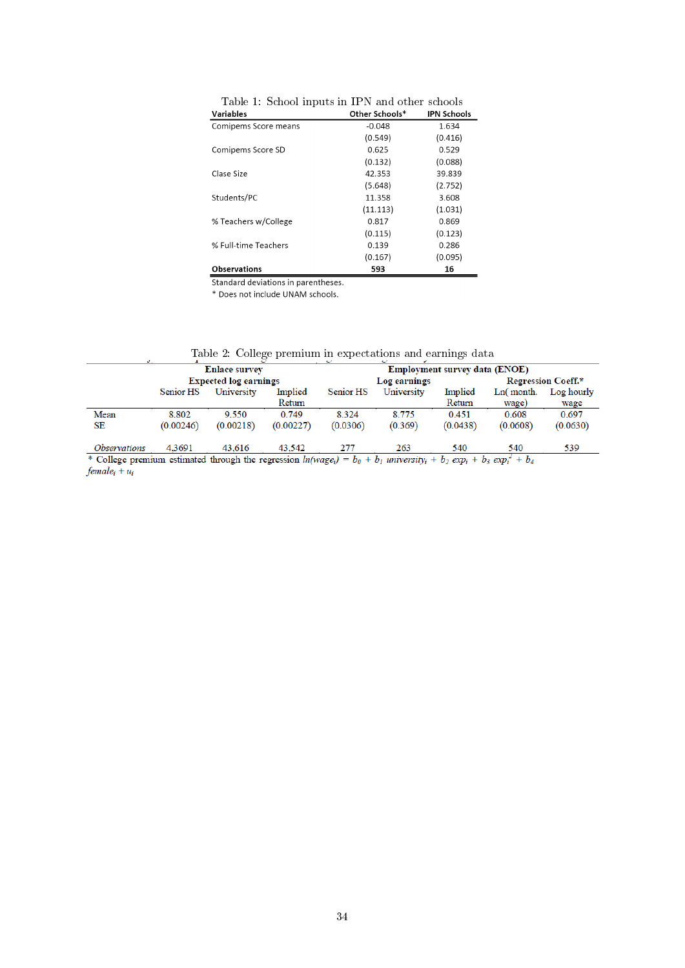| Variables            | Other Schools* | <b>IPN Schools</b> |
|----------------------|----------------|--------------------|
| Comipems Score means | $-0.048$       | 1.634              |
|                      | (0.549)        | (0.416)            |
| Comipems Score SD    | 0.625          | 0.529              |
|                      | (0.132)        | (0.088)            |
| Clase Size           | 42.353         | 39.839             |
|                      | (5.648)        | (2.752)            |
| Students/PC          | 11.358         | 3.608              |
|                      | (11.113)       | (1.031)            |
| % Teachers w/College | 0.817          | 0.869              |
|                      | (0.115)        | (0.123)            |
| % Full-time Teachers | 0.139          | 0.286              |
|                      | (0.167)        | (0.095)            |
| <b>Observations</b>  | 593            | 16                 |

Table 1: School inputs in IPN and other schools

Standard deviations in parentheses.

\* Does not include UNAM schools.

|                                                                                                                                                                                          |                              | <b>Enlace survey</b> |           |           |              | <b>Employment survey data (ENOE)</b> |              |                    |  |
|------------------------------------------------------------------------------------------------------------------------------------------------------------------------------------------|------------------------------|----------------------|-----------|-----------|--------------|--------------------------------------|--------------|--------------------|--|
|                                                                                                                                                                                          | <b>Expected log earnings</b> |                      |           |           | Log earnings |                                      |              | Regression Coeff.* |  |
|                                                                                                                                                                                          | Senior HS                    | University           | Implied   | Senior HS | University   | Implied                              | $Ln($ month. | Log hourly         |  |
|                                                                                                                                                                                          |                              |                      | Return    |           |              | Return                               | wage)        | wage               |  |
| Mean                                                                                                                                                                                     | 8.802                        | 9.550                | 0.749     | 8.324     | 8.775        | 0.451                                | 0.608        | 0.697              |  |
| SE                                                                                                                                                                                       | (0.00246)                    | (0.00218)            | (0.00227) | (0.0306)  | (0.369)      | (0.0438)                             | (0.0608)     | (0.0630)           |  |
| <i><b>Observations</b></i>                                                                                                                                                               | 4.3691                       | 43,616               | 43,542    | 277       | 263          | 540                                  | 540          | 539                |  |
| * College premium estimated through the regression $ln(wage_i) = b_0 + b_1$ university <sub>i</sub> + b <sub>2</sub> exp <sub>i</sub> + b <sub>3</sub> exp <sub>i</sub> + b <sub>4</sub> |                              |                      |           |           |              |                                      |              |                    |  |
| female <sub>i</sub> + $u_i$                                                                                                                                                              |                              |                      |           |           |              |                                      |              |                    |  |

Table 2: College premium in expectations and earnings data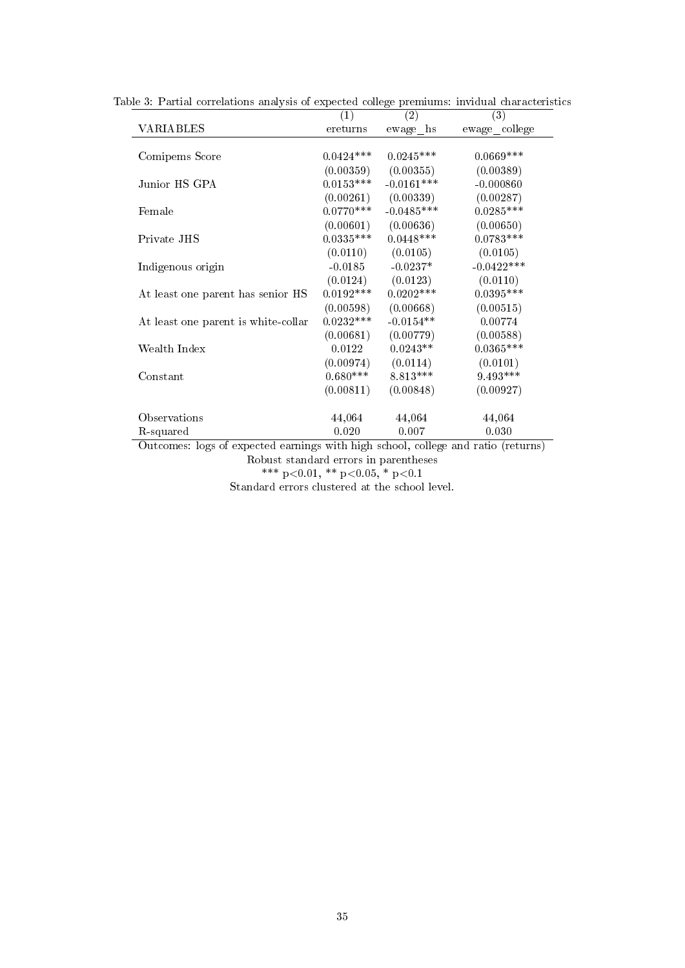|                                     | (1)         | (2)          | (3)                                                                                             |
|-------------------------------------|-------------|--------------|-------------------------------------------------------------------------------------------------|
| VARIABLES                           | ereturns    | ewage hs     | ewage_college                                                                                   |
|                                     |             |              |                                                                                                 |
| Comipems Score                      | $0.0424***$ | $0.0245***$  | $0.0669***$                                                                                     |
|                                     | (0.00359)   | (0.00355)    | (0.00389)                                                                                       |
| Junior HS GPA                       | $0.0153***$ | $-0.0161***$ | $-0.000860$                                                                                     |
|                                     | (0.00261)   | (0.00339)    | (0.00287)                                                                                       |
| Female                              | $0.0770***$ | $-0.0485***$ | $0.0285***$                                                                                     |
|                                     | (0.00601)   | (0.00636)    | (0.00650)                                                                                       |
| Private JHS                         | $0.0335***$ | $0.0448***$  | $0.0783***$                                                                                     |
|                                     | (0.0110)    | (0.0105)     | (0.0105)                                                                                        |
| Indigenous origin                   | $-0.0185$   | $-0.0237*$   | $-0.0422***$                                                                                    |
|                                     | (0.0124)    | (0.0123)     | (0.0110)                                                                                        |
| At least one parent has senior HS   | $0.0192***$ | $0.0202$ *** | $0.0395***$                                                                                     |
|                                     | (0.00598)   | (0.00668)    | (0.00515)                                                                                       |
| At least one parent is white collar | $0.0232***$ | $-0.0154**$  | 0.00774                                                                                         |
|                                     | (0.00681)   | (0.00779)    | (0.00588)                                                                                       |
| Wealth Index                        | 0.0122      | $0.0243**$   | $0.0365***$                                                                                     |
|                                     | (0.00974)   | (0.0114)     | (0.0101)                                                                                        |
| Constant                            | $0.680***$  | $8.813***$   | 9.493***                                                                                        |
|                                     | (0.00811)   | (0.00848)    | (0.00927)                                                                                       |
|                                     |             |              |                                                                                                 |
| Observations                        | 44,064      | 44,064       | 44,064                                                                                          |
| R-squared                           | 0.020       | 0.007        | 0.030                                                                                           |
| Outcomes lags of synoded countries  |             |              | $\mathbf{u}$ it is a subset of $\mathbf{u}$ and $\mathbf{u}$ and $\mathbf{u}$ (not $\mathbf{u}$ |

Table 3: Partial correlations analysis of expected college premiums: invidual characteristics

Outcomes: logs of expected earnings with high school, college and ratio (returns) Robust standard errors in parentheses \*\*\* p<0.01, \*\* p<0.05, \* p<0.1

Standard errors clustered at the school level.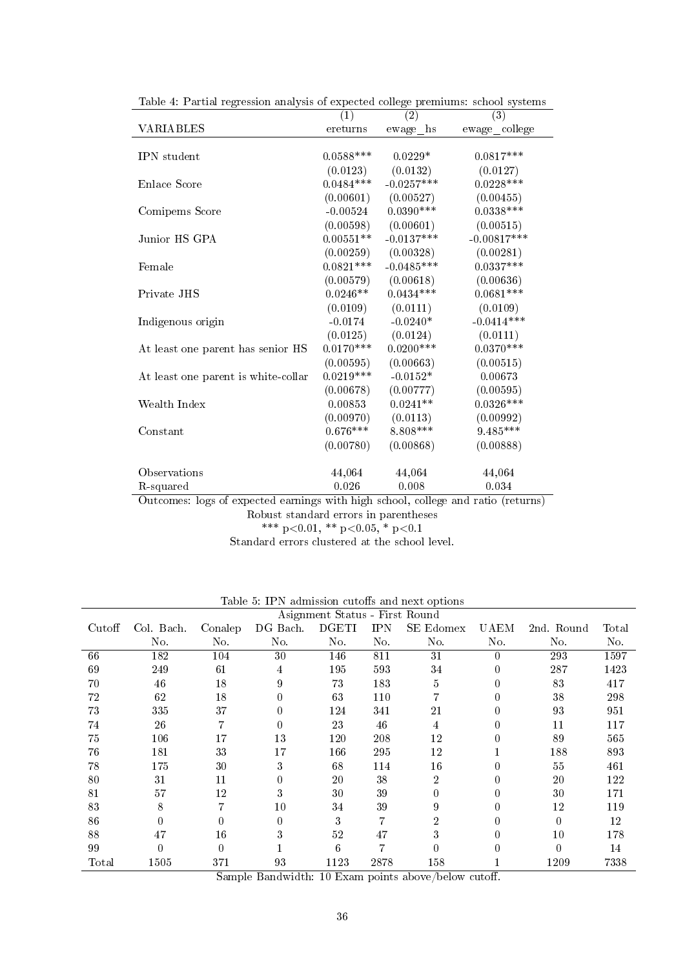|                                                                                   | $\left(1\right)$ | (2)          | (3)           |
|-----------------------------------------------------------------------------------|------------------|--------------|---------------|
| VARIABLES                                                                         | ereturns         | ewage hs     | ewage_college |
|                                                                                   |                  |              |               |
| IPN student                                                                       | $0.0588***$      | $0.0229*$    | $0.0817***$   |
|                                                                                   | (0.0123)         | (0.0132)     | (0.0127)      |
| Enlace Score                                                                      | $0.0484***$      | $-0.0257***$ | $0.0228***$   |
|                                                                                   | (0.00601)        | (0.00527)    | (0.00455)     |
| Comipems Score                                                                    | $-0.00524$       | $0.0390***$  | $0.0338***$   |
|                                                                                   | (0.00598)        | (0.00601)    | (0.00515)     |
| Junior HS GPA                                                                     | $0.00551**$      | $-0.0137***$ | $-0.00817***$ |
|                                                                                   | (0.00259)        | (0.00328)    | (0.00281)     |
| Female                                                                            | $0.0821***$      | $-0.0485***$ | $0.0337***$   |
|                                                                                   | (0.00579)        | (0.00618)    | (0.00636)     |
| Private JHS                                                                       | $0.0246**$       | $0.0434***$  | $0.0681***$   |
|                                                                                   | (0.0109)         | (0.0111)     | (0.0109)      |
| Indigenous origin                                                                 | $-0.0174$        | $-0.0240*$   | $-0.0414***$  |
|                                                                                   | (0.0125)         | (0.0124)     | (0.0111)      |
| At least one parent has senior HS                                                 | $0.0170***$      | $0.0200***$  | $0.0370***$   |
|                                                                                   | (0.00595)        | (0.00663)    | (0.00515)     |
| At least one parent is white-collar                                               | $0.0219***$      | $-0.0152*$   | 0.00673       |
|                                                                                   | (0.00678)        | (0.00777)    | (0.00595)     |
| Wealth Index                                                                      | 0.00853          | $0.0241**$   | $0.0326***$   |
|                                                                                   | (0.00970)        | (0.0113)     | (0.00992)     |
| $\mathop{\rm Constant}\nolimits$                                                  | $0.676***$       | 8.808***     | $9.485***$    |
|                                                                                   | (0.00780)        | (0.00868)    | (0.00888)     |
|                                                                                   |                  |              |               |
| Observations                                                                      | 44,064           | 44,064       | 44,064        |
| R-squared                                                                         | 0.026            | 0.008        | 0.034         |
| Outcomes: logs of expected earnings with high school, college and ratio (returns) |                  |              |               |
| $\blacksquare$                                                                    |                  |              |               |

Table 4: Partial regression analysis of expected college premiums: school systems

Robust standard errors in parentheses

\*\*\* p<0.01, \*\* p<0.05, \* p<0.1 Standard errors clustered at the school level.

| Asignment Status - First Round |            |                |          |              |            |                |             |            |                |
|--------------------------------|------------|----------------|----------|--------------|------------|----------------|-------------|------------|----------------|
| Cutoff                         | Col. Bach. | Conalep        | DG Bach. | <b>DGETI</b> | <b>IPN</b> | SE Edomex      | <b>UAEM</b> | 2nd. Round | $_{\rm Total}$ |
|                                | No.        | No.            | No.      | No.          | No.        | No.            | No.         | No.        | No.            |
| 66                             | 182        | 104            | 30       | 146          | 811        | 31             | 0           | 293        | 1597           |
| 69                             | 249        | 61             | 4        | 195          | 593        | 34             | 0           | 287        | 1423           |
| 70                             | 46         | 18             | 9        | 73           | 183        | 5              | 0           | 83         | 417            |
| 72                             | 62         | 18             | 0        | 63           | 110        |                | 0           | 38         | 298            |
| 73                             | 335        | 37             | 0        | 124          | 341        | $^{21}$        | 0           | 93         | 951            |
| 74                             | 26         | $\overline{ }$ | 0        | 23           | 46         | 4              |             | 11         | 117            |
| 75                             | 106        | 17             | 13       | 120          | 208        | $^{12}$        |             | 89         | 565            |
| 76                             | 181        | 33             | 17       | 166          | 295        | 12             |             | 188        | 893            |
| 78                             | 175        | 30             | 3        | 68           | 114        | 16             |             | 55         | 461            |
| 80                             | 31         | 11             | 0        | 20           | 38         | $\overline{2}$ |             | 20         | 122            |
| 81                             | 57         | 12             | 3        | 30           | 39         |                | 0           | 30         | 171            |
| 83                             | 8          |                | 10       | 34           | 39         | 9              |             | 12         | 119            |
| 86                             | 0          | 0              | 0        | 3            | 7          |                |             | $\Omega$   | 12             |
| 88                             | 47         | 16             | 3        | 52           | 47         | 3              | 0           | 10         | 178            |
| 99                             | 0          | $\Omega$       |          | 6            |            |                |             | $\Omega$   | 14             |
| Total                          | 1505       | 371            | 93       | 1123         | 2878       | 158            |             | 1209       | 7338           |

Table 5: IPN admission cutoffs and next options  $\,$ 

Sample Bandwidth: 10 Exam points above/below cutoff.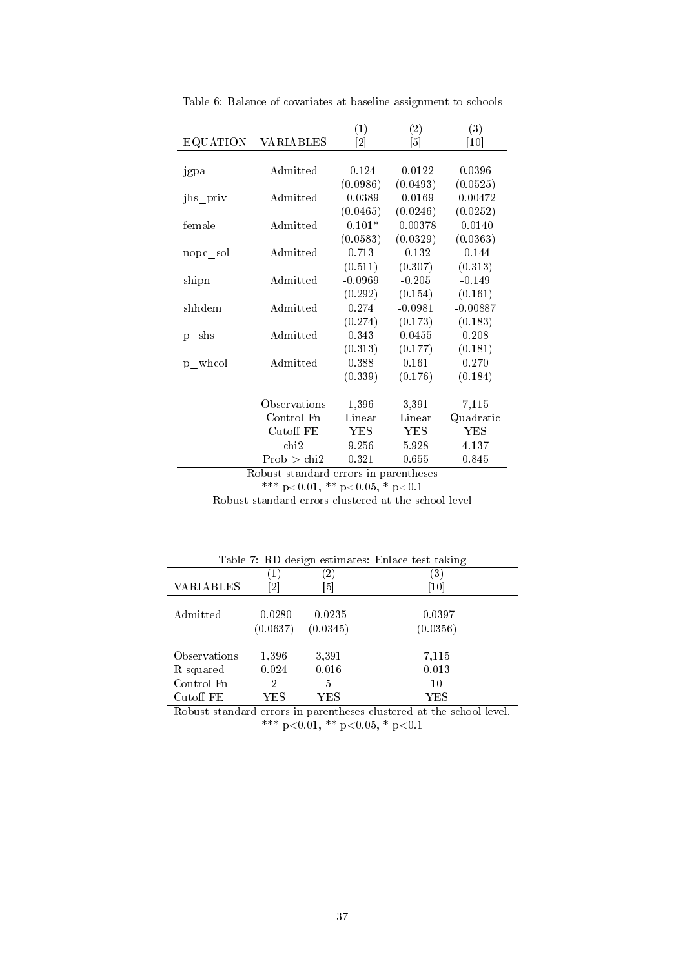|                      |                                      | (1)                          | $\overline{(2)}$ | $\overline{(3)}$              |
|----------------------|--------------------------------------|------------------------------|------------------|-------------------------------|
| <b>EQUATION</b>      | <b>VARIABLES</b>                     | $\left\lceil 2 \right\rceil$ | [5]              | $\left\lceil 10 \right\rceil$ |
|                      |                                      |                              |                  |                               |
| jgpa                 | Admitted                             | $-0.124$                     | $-0.0122$        | 0.0396                        |
|                      |                                      | (0.0986)                     | (0.0493)         | (0.0525)                      |
| jhs priv             | Admitted                             | $-0.0389$                    | $-0.0169$        | $-0.00472$                    |
|                      |                                      | (0.0465)                     | (0.0246)         | (0.0252)                      |
| female               | Admitted                             | $-0.101*$                    | $-0.00378$       | $-0.0140$                     |
|                      |                                      | (0.0583)                     | (0.0329)         | (0.0363)                      |
| nopc sol             | Admitted                             | 0.713                        | $-0.132$         | $-0.144$                      |
|                      |                                      | (0.511)                      | (0.307)          | (0.313)                       |
| shipn                | Admitted                             | $-0.0969$                    | $-0.205$         | $-0.149$                      |
|                      |                                      | (0.292)                      | (0.154)          | (0.161)                       |
| shhdem               | Admitted                             | 0.274                        | $-0.0981$        | $-0.00887$                    |
|                      |                                      | (0.274)                      | (0.173)          | (0.183)                       |
| $p$ <sub>_s</sub> hs | Admitted                             | 0.343                        | 0.0455           | 0.208                         |
|                      |                                      | (0.313)                      | (0.177)          | (0.181)                       |
| p whool              | Admitted                             | 0.388                        | 0.161            | 0.270                         |
|                      |                                      | (0.339)                      | (0.176)          | (0.184)                       |
|                      |                                      |                              |                  |                               |
|                      | Observations                         | 1,396                        | 3,391            | 7,115                         |
|                      | Control Fn                           | Linear                       | Linear           | Quadratic                     |
|                      | Cutoff FE                            | <b>YES</b>                   | YES              | <b>YES</b>                    |
|                      | chi2                                 | 9.256                        | 5.928            | 4.137                         |
|                      | Prob > chi2                          | 0.321                        | 0.655            | 0.845                         |
|                      | Delust stendend emens in nenentheses |                              |                  |                               |

Table 6: Balance of covariates at baseline assignment to schools

Robust standard errors in parentheses

\*\*\* p<0.01, \*\* p<0.05, \* p<0.1

Robust standard errors clustered at the school level

|                  |                             |               | <b>Table <i>L</i> ND</b> design estimates: Emace test-taking |
|------------------|-----------------------------|---------------|--------------------------------------------------------------|
|                  | $\left\lceil 1\right\rceil$ | $^{\prime}2)$ | 3)                                                           |
| <b>VARIABLES</b> | $\overline{2}$              | [5]           | 10                                                           |
|                  |                             |               |                                                              |
| Admitted         | $-0.0280$                   | $-0.0235$     | $-0.0397$                                                    |
|                  | (0.0637)                    | (0.0345)      | (0.0356)                                                     |
|                  |                             |               |                                                              |
| Observations     | 1,396                       | 3,391         | 7,115                                                        |
| R-squared        | 0.024                       | 0.016         | 0.013                                                        |
| Control Fn       | 2                           | 5             | 10                                                           |
| Cutoff FE        | YES                         | YES.          | YES                                                          |

Table 7: RD design estimates: Enlace test-taking

Robust standard errors in parentheses clustered at the school level. \*\*\* p<0.01, \*\* p<0.05, \* p<0.1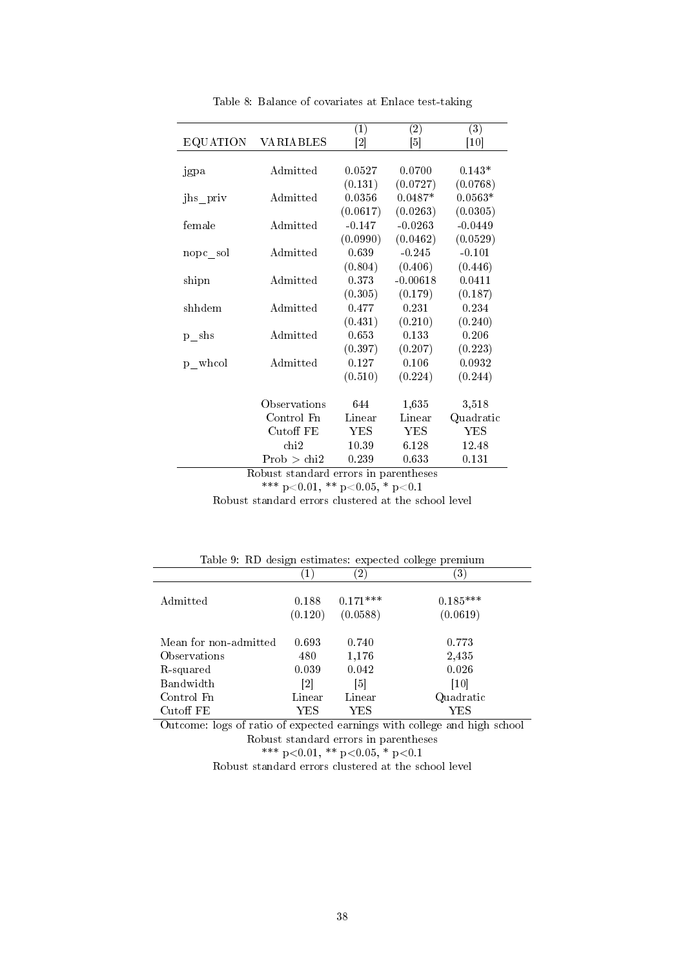|                        |                                       | $\left(1\right)$  | (2)               | $\overline{(3)}$ |
|------------------------|---------------------------------------|-------------------|-------------------|------------------|
| <b>EQUATION</b>        | VARIABLES                             | $\left[ 2\right]$ | $\lceil 5 \rceil$ | [10]             |
|                        |                                       |                   |                   |                  |
| jgpa                   | Admitted                              | 0.0527            | 0.0700            | $0.143*$         |
|                        |                                       | (0.131)           | (0.0727)          | (0.0768)         |
| jhs_priv               | Admitted                              | 0.0356            | $0.0487*$         | $0.0563*$        |
|                        |                                       | (0.0617)          | (0.0263)          | (0.0305)         |
| female                 | Admitted                              | $-0.147$          | $-0.0263$         | $-0.0449$        |
|                        |                                       | (0.0990)          | (0.0462)          | (0.0529)         |
| nopc sol               | Admitted                              | 0.639             | $-0.245$          | $-0.101$         |
|                        |                                       | (0.804)           | (0.406)           | (0.446)          |
| shipn                  | Admitted                              | 0.373             | $-0.00618$        | 0.0411           |
|                        |                                       | (0.305)           | (0.179)           | (0.187)          |
| shhdem                 | Admitted                              | 0.477             | 0.231             | 0.234            |
|                        |                                       | (0.431)           | (0.210)           | (0.240)          |
| $p$ <sub>_s</sub> hs   | Admitted                              | 0.653             | 0.133             | 0.206            |
|                        |                                       | (0.397)           | (0.207)           | (0.223)          |
| $p$ <sub>m</sub> whool | Admitted                              | 0.127             | 0.106             | 0.0932           |
|                        |                                       | (0.510)           | (0.224)           | (0.244)          |
|                        |                                       |                   |                   |                  |
|                        | Observations                          | 644               | 1,635             | 3,518            |
|                        | Control Fn                            | Linear            | Linear            | Quadratic        |
|                        | Cutoff FE                             | <b>YES</b>        | <b>YES</b>        | <b>YES</b>       |
|                        | chi2                                  | 10.39             | 6.128             | 12.48            |
|                        | Prob > chi2                           | 0.239             | 0.633             | 0.131            |
|                        | Dobust standard organs in paranthosos |                   |                   |                  |

Table 8: Balance of covariates at Enlace test-taking

Robust standard errors in parentheses \*\*\* p<0.01, \*\* p<0.05, \* p<0.1

Robust standard errors clustered at the school level

|                                             | Table 9. RD design estimates: expected college premium |            |            |  |  |  |  |  |
|---------------------------------------------|--------------------------------------------------------|------------|------------|--|--|--|--|--|
|                                             | $\mathbf{1}$                                           | (2)        | 3)         |  |  |  |  |  |
| Admitted                                    | 0.188                                                  | $0.171***$ | $0.185***$ |  |  |  |  |  |
|                                             | (0.120)                                                | (0.0588)   | (0.0619)   |  |  |  |  |  |
|                                             |                                                        |            |            |  |  |  |  |  |
| Mean for non-admitted                       | 0.693                                                  | 0.740      | 0.773      |  |  |  |  |  |
| Observations                                | 480                                                    | 1,176      | 2,435      |  |  |  |  |  |
| R-squared                                   | 0.039                                                  | 0.042      | 0.026      |  |  |  |  |  |
| Bandwidth                                   | 2                                                      | [5]        | [10]       |  |  |  |  |  |
| Control Fn                                  | Linear                                                 | Linear     | Quadratic  |  |  |  |  |  |
| $\operatorname{Cutoff}$ $\operatorname{FE}$ | YES                                                    | YES        | YES        |  |  |  |  |  |

Outcome: logs of ratio of expected earnings with college and high school Robust standard errors in parentheses \*\*\* p<0.01, \*\* p<0.05, \* p<0.1

Robust standard errors clustered at the school level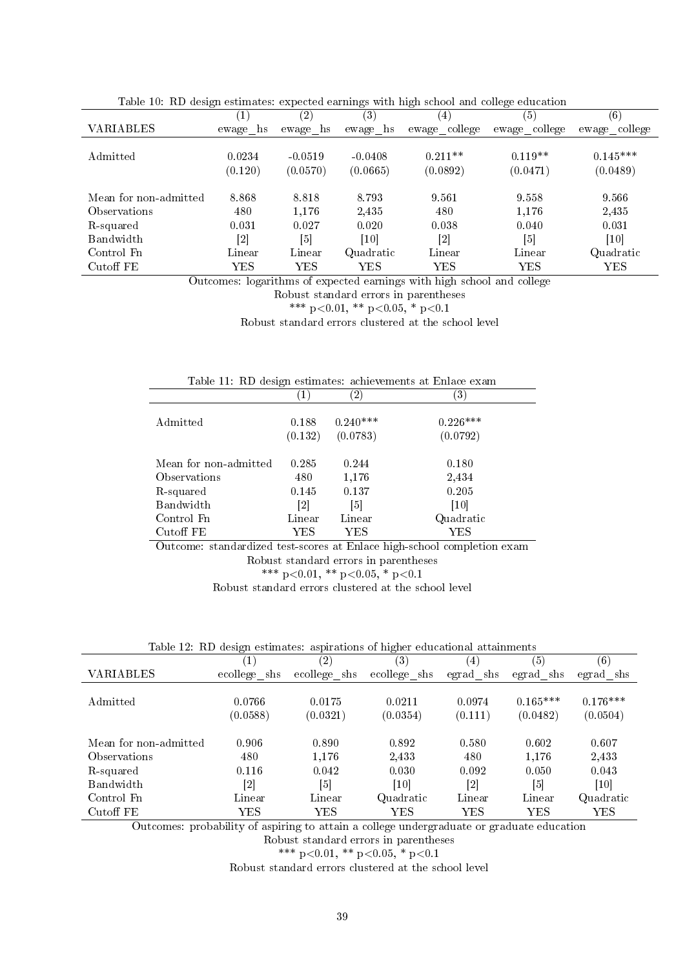|                       | ־־־         | (2)         | ີຕ<br>$\left( 3\right)$ | <u>-ก--</u><br>(4)           | (5)           | (6)           |
|-----------------------|-------------|-------------|-------------------------|------------------------------|---------------|---------------|
| VARIABLES             | ewage<br>hs | ewage<br>hs | ewage<br>hs             | ewage college                | ewage college | ewage college |
|                       |             |             |                         |                              |               |               |
| Admitted              | 0.0234      | $-0.0519$   | $-0.0408$               | $0.211**$                    | $0.119**$     | $0.145***$    |
|                       | (0.120)     | (0.0570)    | (0.0665)                | (0.0892)                     | (0.0471)      | (0.0489)      |
|                       |             |             |                         |                              |               |               |
| Mean for non-admitted | 8.868       | 8.818       | 8.793                   | 9.561                        | 9.558         | 9.566         |
| Observations          | 480         | 1,176       | 2,435                   | 480                          | 1,176         | 2,435         |
| R-squared             | 0.031       | 0.027       | 0.020                   | 0.038                        | 0.040         | 0.031         |
| Bandwidth             | [2]         | [5]         | [10]                    | $\left\lceil 2 \right\rceil$ | [5]           | [10]          |
| Control Fn            | Linear      | Linear      | Quadratic               | Linear                       | Linear        | Quadratic     |
| Cutoff FE             | YES         | <b>YES</b>  | <b>YES</b>              | <b>YES</b>                   | <b>YES</b>    | <b>YES</b>    |

Table 10: RD design estimates: expected earnings with high school and college education

Outcomes: logarithms of expected earnings with high school and college

Robust standard errors in parentheses

\*\*\* p<0.01, \*\* p<0.05, \* p<0.1

Robust standard errors clustered at the school level

| Table 11. RD design estimates: achievements at Enlace exam |                  |                        |                        |  |  |  |  |
|------------------------------------------------------------|------------------|------------------------|------------------------|--|--|--|--|
|                                                            |                  | $\left( 2\right)$      | (3)                    |  |  |  |  |
| Admitted                                                   | 0.188<br>(0.132) | $0.240***$<br>(0.0783) | $0.226***$<br>(0.0792) |  |  |  |  |
|                                                            |                  |                        |                        |  |  |  |  |
| Mean for non-admitted                                      | 0.285            | 0.244                  | 0.180                  |  |  |  |  |
| Observations                                               | 480.             | 1,176                  | 2,434                  |  |  |  |  |
| R-squared                                                  | 0.145            | 0.137                  | 0.205                  |  |  |  |  |
| Bandwidth                                                  | [2]              | [5]                    | [10]                   |  |  |  |  |
| Control Fn                                                 | Linear           | Linear                 | Quadratic              |  |  |  |  |
| Cutoff FE                                                  | YES              | YES                    | YES                    |  |  |  |  |

Outcome: standardized test-scores at Enlace high-school completion exam Robust standard errors in parentheses

\*\*\* p<0.01, \*\* p<0.05, \* p<0.1

Robust standard errors clustered at the school level

| Table 12: RD design estimates: aspirations of higher educational attainments |  |  |  |  |  |  |
|------------------------------------------------------------------------------|--|--|--|--|--|--|
|------------------------------------------------------------------------------|--|--|--|--|--|--|

|                       | (1)                          | $\left( 2\right)$ | $\left( 3\right)$ | $\left(4\right)$             | (5)               | $\left( 6\right)$ |
|-----------------------|------------------------------|-------------------|-------------------|------------------------------|-------------------|-------------------|
| VARIABLES             | ecollege shs                 | ecollege shs      | ecollege_shs      | egrad shs                    | egrad shs         | egrad shs         |
|                       |                              |                   |                   |                              |                   |                   |
| Admitted              | 0.0766                       | 0.0175            | 0.0211            | 0.0974                       | $0.165***$        | $0.176***$        |
|                       | (0.0588)                     | (0.0321)          | (0.0354)          | (0.111)                      | (0.0482)          | (0.0504)          |
|                       |                              |                   |                   |                              |                   |                   |
| Mean for non-admitted | 0.906                        | 0.890             | 0.892             | 0.580                        | 0.602             | 0.607             |
| Observations          | 480                          | 1,176             | 2,433             | 480                          | 1.176             | 2,433             |
| R-squared             | 0.116                        | 0.042             | 0.030             | 0.092                        | 0.050             | 0.043             |
| Bandwidth             | $\left\lceil 2 \right\rceil$ | [5]               | [10]              | $\left\lceil 2 \right\rceil$ | $\lceil 5 \rceil$ | [10]              |
| Control Fn            | Linear                       | Linear            | Quadratic         | Linear                       | Linear            | Quadratic         |
| Cutoff FE             | $_{\rm YES}$                 | YES               | YES               | YES                          | $_{\rm YES}$      | YES               |

Outcomes: probability of aspiring to attain a college undergraduate or graduate education

Robust standard errors in parentheses

\*\*\* p<0.01, \*\* p<0.05, \* p<0.1

Robust standard errors clustered at the school level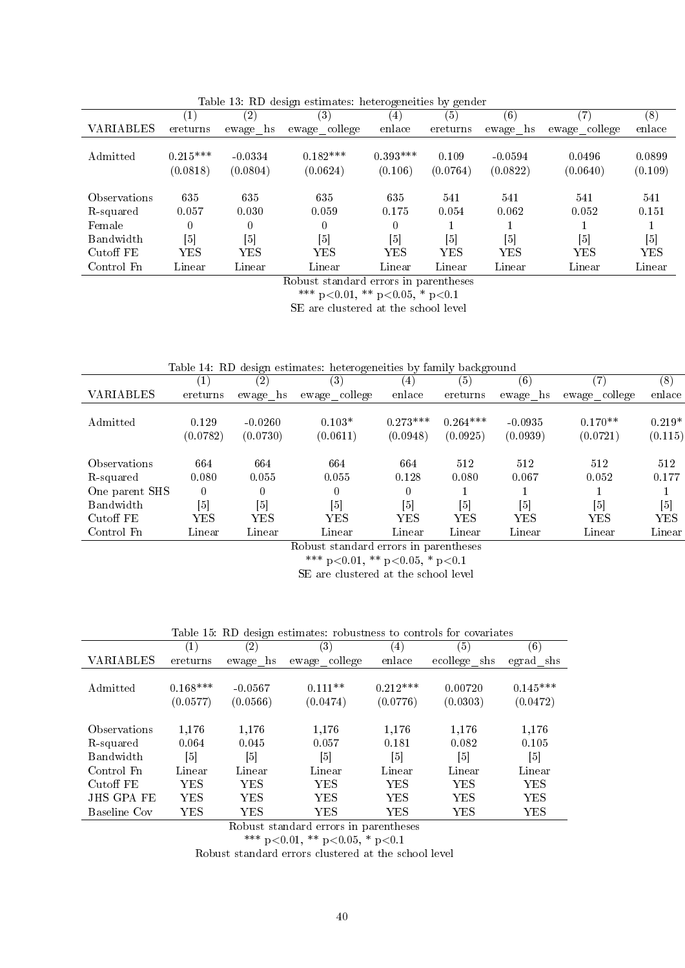|                                         | $\left( 1\right)$ | (2)          | (3)           | (4)         | (5)      | (6)        | $\left( 7\right)$ | (8)        |
|-----------------------------------------|-------------------|--------------|---------------|-------------|----------|------------|-------------------|------------|
| VARIABLES                               | ereturns          | hs<br>ewage  | ewage college | enlace      | ereturns | ewage hs   | ewage college     | enlace     |
|                                         |                   |              |               |             |          |            |                   |            |
| Admitted                                | $0.215***$        | $-0.0334$    | $0.182***$    | $0.393***$  | 0.109    | $-0.0594$  | 0.0496            | 0.0899     |
|                                         | (0.0818)          | (0.0804)     | (0.0624)      | (0.106)     | (0.0764) | (0.0822)   | (0.0640)          | (0.109)    |
|                                         |                   |              |               |             |          |            |                   |            |
| Observations                            | 635               | 635          | 635           | 635         | 541      | 541        | 541               | 541        |
| R-squared                               | 0.057             | 0.030        | 0.059         | 0.175       | 0.054    | 0.062      | 0.052             | 0.151      |
| Female                                  |                   | 0            | $\Omega$      |             |          |            |                   |            |
| Bandwidth                               | [5]               | [5]          | [5]           | [5]         | [5]      | [5]        | $\lceil 5 \rceil$ | [5]        |
| Cutoff FE                               | $_{\rm YES}$      | $_{\rm YES}$ | ${\rm YES}$   | ${\rm YES}$ | YES      | <b>YES</b> | <b>YES</b>        | <b>YES</b> |
| Control Fn                              | Linear            | Linear       | Linear        | Linear      | Linear   | Linear     | Linear            | Linear     |
| Pobust standard organize in parenthosos |                   |              |               |             |          |            |                   |            |

Table 13: RD design estimates: heterogeneities by gender

Robust standard errors in parentheses

\*\*\* p<0.01, \*\* p<0.05, \* p<0.1

SE are clustered at the school level

| Table 14: RD design estimates: heterogeneities by family background |  |  |  |  |
|---------------------------------------------------------------------|--|--|--|--|
|---------------------------------------------------------------------|--|--|--|--|

|                |                   | ີ                 |                   |                   | $\check{ }$       |              |               |                  |
|----------------|-------------------|-------------------|-------------------|-------------------|-------------------|--------------|---------------|------------------|
|                | 1)                | (2)               | (3)               | $\left(4\right)$  | (5)               | (6)          | 7             | $\left(8\right)$ |
| VARIABLES      | ereturns          | ewage hs          | ewage college     | enlace            | ereturns          | ewage hs     | ewage college | enlace           |
|                |                   |                   |                   |                   |                   |              |               |                  |
| Admitted       | 0.129             | $-0.0260$         | $0.103*$          | $0.273***$        | $0.264***$        | $-0.0935$    | $0.170**$     | $0.219*$         |
|                | (0.0782)          | (0.0730)          | (0.0611)          | (0.0948)          | (0.0925)          | (0.0939)     | (0.0721)      | (0.115)          |
|                |                   |                   |                   |                   |                   |              |               |                  |
| Observations   | 664               | 664               | 664               | 664               | 512               | 512          | 512           | 512              |
| R-squared      | 0.080             | 0.055             | 0.055             | 0.128             | 0.080             | 0.067        | 0.052         | 0.177            |
| One parent SHS | 0                 | 0                 | 0                 | $\theta$          |                   |              |               |                  |
| Bandwidth      | $\lceil 5 \rceil$ | $\lceil 5 \rceil$ | $\lceil 5 \rceil$ | $\lceil 5 \rceil$ | $\lceil 5 \rceil$ | [5]          | [5]           | $\left[5\right]$ |
| Cutoff FE      | ${\rm YES}$       | YES               | $_{\rm YES}$      | YES               | $_{\rm YES}$      | $_{\rm YES}$ | <b>YES</b>    | <b>YES</b>       |
| Control Fn     | Linear            | Linear            | Linear            | Linear            | Linear            | Linear       | Linear        | Linear           |

Robust standard errors in parentheses

\*\*\* p<0.01, \*\* p<0.05, \* p<0.1

SE are clustered at the school level

Table 15: RD design estimates: robustness to controls for covariates

|              | $\left( 1\right)$ | (2)               | $\left(3\right)$  | $\left( 4\right)$ | (5)             | (6)        |
|--------------|-------------------|-------------------|-------------------|-------------------|-----------------|------------|
| VARIABLES    | ereturns          | hs<br>ewage       | ewage college     | enlace            | ecollege<br>shs | egrad shs  |
|              |                   |                   |                   |                   |                 |            |
| Admitted     | $0.168***$        | $-0.0567$         | $0.111**$         | $0.212***$        | 0.00720         | $0.145***$ |
|              | (0.0577)          | (0.0566)          | (0.0474)          | (0.0776)          | (0.0303)        | (0.0472)   |
|              |                   |                   |                   |                   |                 |            |
| Observations | 1,176             | 1,176             | 1,176             | 1,176             | 1,176           | 1,176      |
| R-squared    | 0.064             | 0.045             | 0.057             | 0.181             | 0.082           | 0.105      |
| Bandwidth    | $\lceil 5 \rceil$ | $\lceil 5 \rceil$ | $\lceil 5 \rceil$ | $\lceil 5 \rceil$ | [5]             | [5]        |
| Control Fn   | Linear            | Linear            | Linear            | Linear            | Linear          | Linear     |
| Cutoff FE    | YES               | ${\rm YES}$       | $_{\rm YES}$      | YES               | YES.            | YES        |
| JHS GPA FE   | YES               | YES               | YES               | YES               | YES             | YES        |
| Baseline Cov | $_{\rm YES}$      | ${\rm YES}$       | $_{\rm YES}$      | YES               | YES             | YES        |

Robust standard errors in parentheses

\*\*\* p<0.01, \*\* p<0.05, \* p<0.1

Robust standard errors clustered at the school level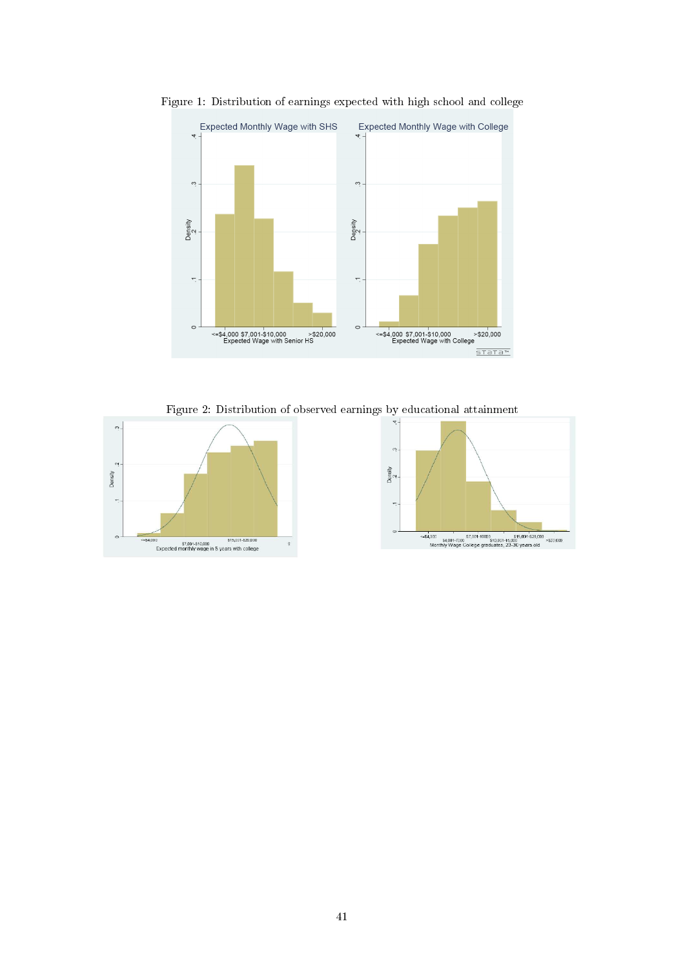

Figure 1: Distribution of earnings expected with high school and college

Figure 2: Distribution of observed earnings by educational attainment

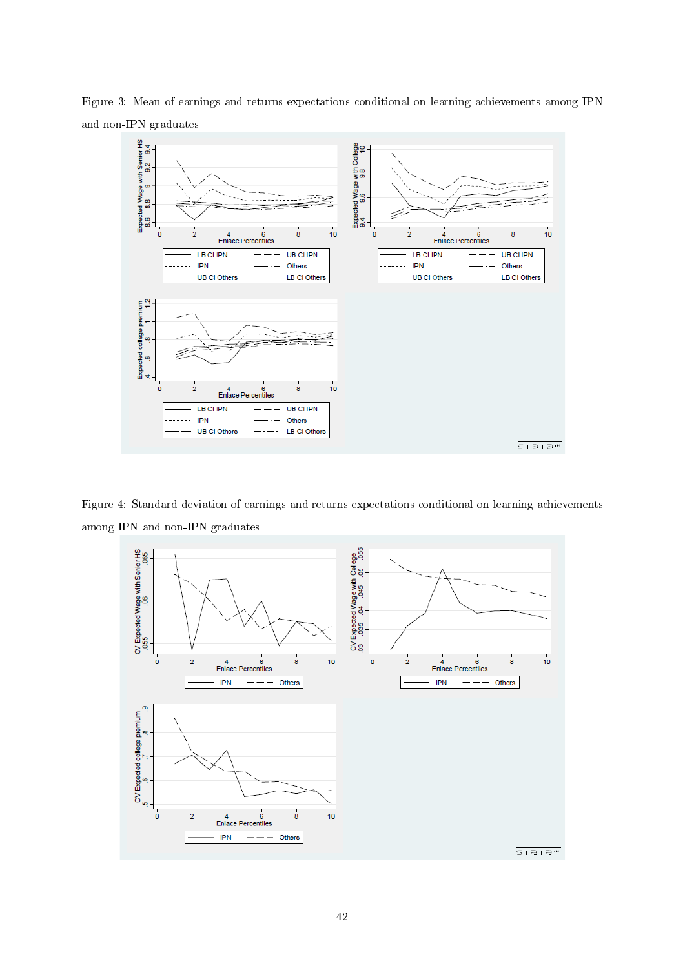

Figure 3: Mean of earnings and returns expectations conditional on learning achievements among IPN and non-IPN graduates

Figure 4: Standard deviation of earnings and returns expectations conditional on learning achievements among IPN and non-IPN graduates

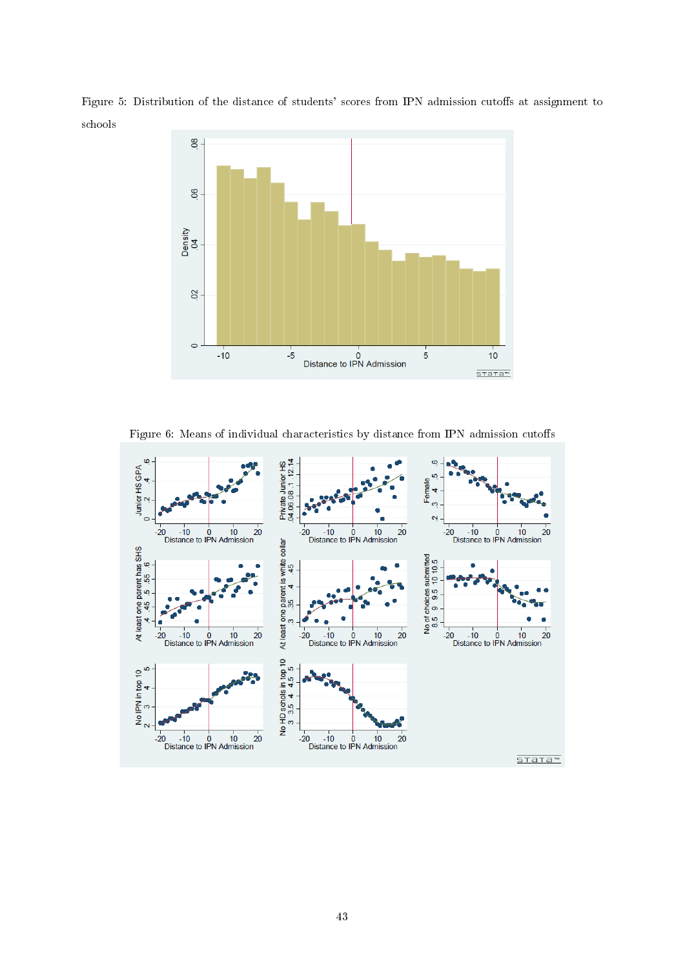



Figure 6: Means of individual characteristics by distance from IPN admission cutoffs

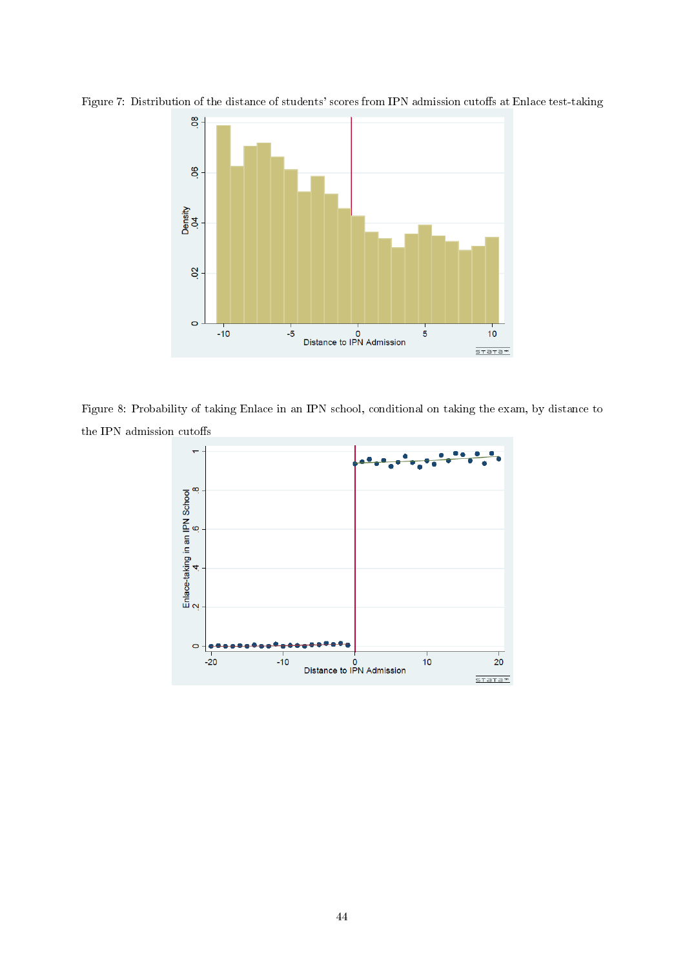

Figure 7: Distribution of the distance of students' scores from IPN admission cutoffs at Enlace test-taking

Figure 8: Probability of taking Enlace in an IPN school, conditional on taking the exam, by distance to the IPN admission cutoffs